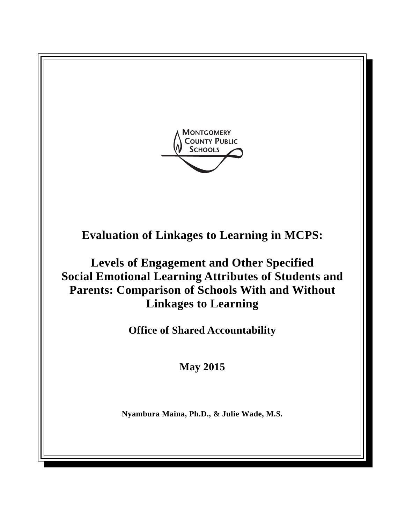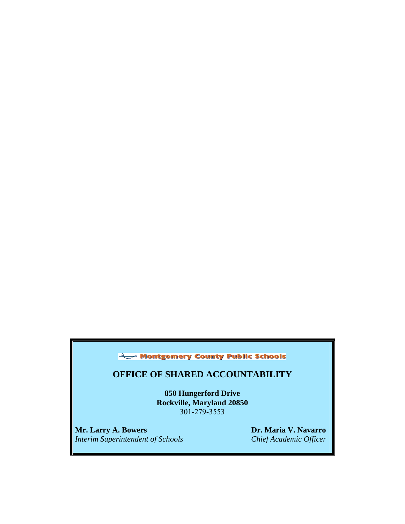## Montgomery County Public Schools

## **OFFICE OF SHARED ACCOUNTABILITY**

**850 Hungerford Drive Rockville, Maryland 20850**  301-279-3553

**Mr. Larry A. Bowers Dr. Maria V. Navarro** *Dr. Maria V. Navarro Dr. Maria V. Navarro Dr. Maria V. Navarro Interim Superintendent of Schools*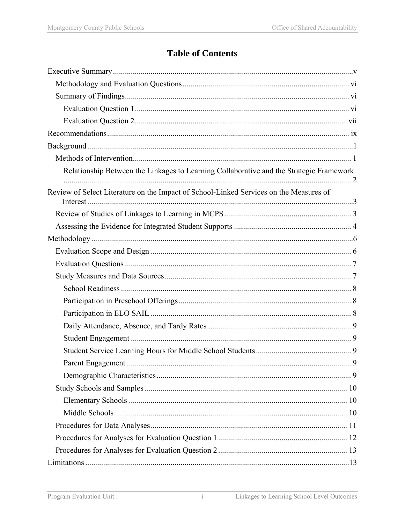# **Table of Contents**

| Relationship Between the Linkages to Learning Collaborative and the Strategic Framework |  |
|-----------------------------------------------------------------------------------------|--|
| Review of Select Literature on the Impact of School-Linked Services on the Measures of  |  |
|                                                                                         |  |
|                                                                                         |  |
|                                                                                         |  |
|                                                                                         |  |
|                                                                                         |  |
|                                                                                         |  |
|                                                                                         |  |
|                                                                                         |  |
|                                                                                         |  |
|                                                                                         |  |
|                                                                                         |  |
|                                                                                         |  |
|                                                                                         |  |
|                                                                                         |  |
|                                                                                         |  |
|                                                                                         |  |
|                                                                                         |  |
|                                                                                         |  |
|                                                                                         |  |
|                                                                                         |  |
|                                                                                         |  |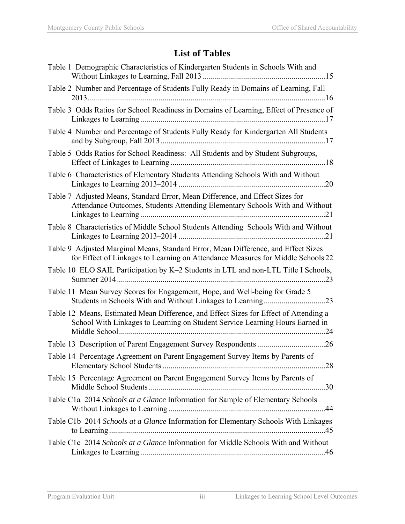# **List of Tables**

| Table 1 Demographic Characteristics of Kindergarten Students in Schools With and                                                                                      |
|-----------------------------------------------------------------------------------------------------------------------------------------------------------------------|
| Table 2 Number and Percentage of Students Fully Ready in Domains of Learning, Fall                                                                                    |
| Table 3 Odds Ratios for School Readiness in Domains of Learning, Effect of Presence of                                                                                |
| Table 4 Number and Percentage of Students Fully Ready for Kindergarten All Students                                                                                   |
| Table 5 Odds Ratios for School Readiness: All Students and by Student Subgroups,                                                                                      |
| Table 6 Characteristics of Elementary Students Attending Schools With and Without                                                                                     |
| Table 7 Adjusted Means, Standard Error, Mean Difference, and Effect Sizes for<br>Attendance Outcomes, Students Attending Elementary Schools With and Without          |
| Table 8 Characteristics of Middle School Students Attending Schools With and Without                                                                                  |
| Table 9 Adjusted Marginal Means, Standard Error, Mean Difference, and Effect Sizes<br>for Effect of Linkages to Learning on Attendance Measures for Middle Schools 22 |
| Table 10 ELO SAIL Participation by K-2 Students in LTL and non-LTL Title I Schools,                                                                                   |
| Table 11 Mean Survey Scores for Engagement, Hope, and Well-being for Grade 5                                                                                          |
| Table 12 Means, Estimated Mean Difference, and Effect Sizes for Effect of Attending a<br>School With Linkages to Learning on Student Service Learning Hours Earned in |
|                                                                                                                                                                       |
| Table 14 Percentage Agreement on Parent Engagement Survey Items by Parents of                                                                                         |
| Table 15 Percentage Agreement on Parent Engagement Survey Items by Parents of                                                                                         |
| Table C1a 2014 Schools at a Glance Information for Sample of Elementary Schools                                                                                       |
| Table C1b 2014 Schools at a Glance Information for Elementary Schools With Linkages                                                                                   |
| Table C1c 2014 Schools at a Glance Information for Middle Schools With and Without                                                                                    |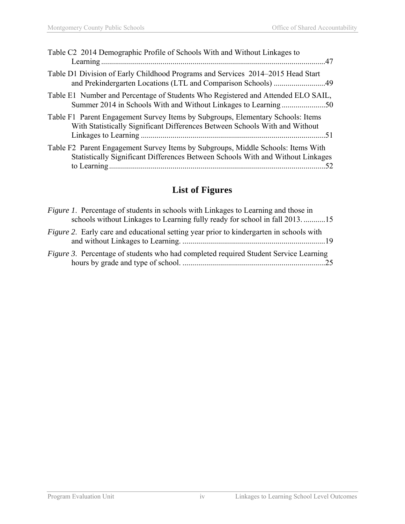| Table C <sub>2</sub> 2014 Demographic Profile of Schools With and Without Linkages to<br>.47                                                                          |
|-----------------------------------------------------------------------------------------------------------------------------------------------------------------------|
| Table D1 Division of Early Childhood Programs and Services 2014–2015 Head Start                                                                                       |
| Table E1 Number and Percentage of Students Who Registered and Attended ELO SAIL,<br>Summer 2014 in Schools With and Without Linkages to Learning50                    |
| Table F1 Parent Engagement Survey Items by Subgroups, Elementary Schools: Items<br>With Statistically Significant Differences Between Schools With and Without<br>-51 |
| Table F2 Parent Engagement Survey Items by Subgroups, Middle Schools: Items With<br>Statistically Significant Differences Between Schools With and Without Linkages   |

# **List of Figures**

| <i>Figure 1.</i> Percentage of students in schools with Linkages to Learning and those in<br>schools without Linkages to Learning fully ready for school in fall 201315 |
|-------------------------------------------------------------------------------------------------------------------------------------------------------------------------|
| <i>Figure 2.</i> Early care and educational setting year prior to kindergarten in schools with                                                                          |
| Figure 3. Percentage of students who had completed required Student Service Learning                                                                                    |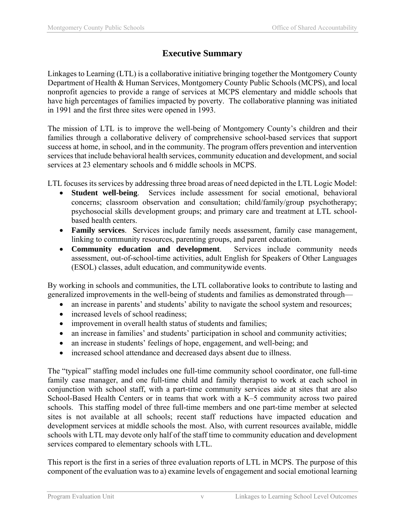## **Executive Summary**

Linkages to Learning (LTL) is a collaborative initiative bringing together the Montgomery County Department of Health & Human Services, Montgomery County Public Schools (MCPS), and local nonprofit agencies to provide a range of services at MCPS elementary and middle schools that have high percentages of families impacted by poverty. The collaborative planning was initiated in 1991 and the first three sites were opened in 1993.

The mission of LTL is to improve the well-being of Montgomery County's children and their families through a collaborative delivery of comprehensive school-based services that support success at home, in school, and in the community. The program offers prevention and intervention services that include behavioral health services, community education and development, and social services at 23 elementary schools and 6 middle schools in MCPS.

LTL focuses its services by addressing three broad areas of need depicted in the LTL Logic Model:

- **Student well-being**. Services include assessment for social emotional, behavioral concerns; classroom observation and consultation; child/family/group psychotherapy; psychosocial skills development groups; and primary care and treatment at LTL schoolbased health centers.
- **Family services**. Services include family needs assessment, family case management, linking to community resources, parenting groups, and parent education.
- **Community education and development**. Services include community needs assessment, out-of-school-time activities, adult English for Speakers of Other Languages (ESOL) classes, adult education, and communitywide events.

By working in schools and communities, the LTL collaborative looks to contribute to lasting and generalized improvements in the well-being of students and families as demonstrated through—

- an increase in parents' and students' ability to navigate the school system and resources;
- increased levels of school readiness;
- improvement in overall health status of students and families;
- an increase in families' and students' participation in school and community activities;
- an increase in students' feelings of hope, engagement, and well-being; and
- increased school attendance and decreased days absent due to illness.

The "typical" staffing model includes one full-time community school coordinator, one full-time family case manager, and one full-time child and family therapist to work at each school in conjunction with school staff, with a part-time community services aide at sites that are also School-Based Health Centers or in teams that work with a K–5 community across two paired schools. This staffing model of three full-time members and one part-time member at selected sites is not available at all schools; recent staff reductions have impacted education and development services at middle schools the most. Also, with current resources available, middle schools with LTL may devote only half of the staff time to community education and development services compared to elementary schools with LTL.

This report is the first in a series of three evaluation reports of LTL in MCPS. The purpose of this component of the evaluation was to a) examine levels of engagement and social emotional learning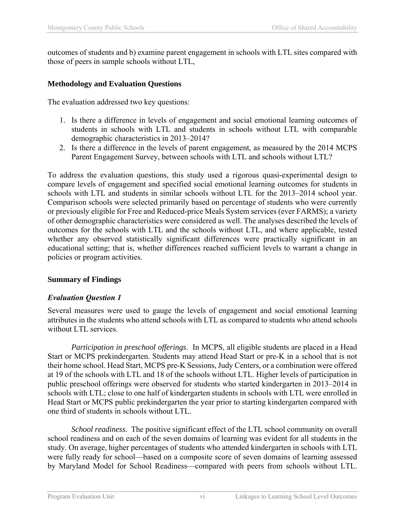outcomes of students and b) examine parent engagement in schools with LTL sites compared with those of peers in sample schools without LTL,

#### **Methodology and Evaluation Questions**

The evaluation addressed two key questions:

- 1. Is there a difference in levels of engagement and social emotional learning outcomes of students in schools with LTL and students in schools without LTL with comparable demographic characteristics in 2013–2014?
- 2. Is there a difference in the levels of parent engagement, as measured by the 2014 MCPS Parent Engagement Survey, between schools with LTL and schools without LTL?

To address the evaluation questions, this study used a rigorous quasi-experimental design to compare levels of engagement and specified social emotional learning outcomes for students in schools with LTL and students in similar schools without LTL for the 2013–2014 school year. Comparison schools were selected primarily based on percentage of students who were currently or previously eligible for Free and Reduced-price Meals System services (ever FARMS); a variety of other demographic characteristics were considered as well. The analyses described the levels of outcomes for the schools with LTL and the schools without LTL, and where applicable, tested whether any observed statistically significant differences were practically significant in an educational setting; that is, whether differences reached sufficient levels to warrant a change in policies or program activities.

#### **Summary of Findings**

#### *Evaluation Question 1*

Several measures were used to gauge the levels of engagement and social emotional learning attributes in the students who attend schools with LTL as compared to students who attend schools without LTL services.

 *Participation in preschool offerings*. In MCPS, all eligible students are placed in a Head Start or MCPS prekindergarten. Students may attend Head Start or pre-K in a school that is not their home school. Head Start, MCPS pre-K Sessions, Judy Centers, or a combination were offered at 19 of the schools with LTL and 18 of the schools without LTL. Higher levels of participation in public preschool offerings were observed for students who started kindergarten in 2013–2014 in schools with LTL; close to one half of kindergarten students in schools with LTL were enrolled in Head Start or MCPS public prekindergarten the year prior to starting kindergarten compared with one third of students in schools without LTL.

*School readiness*. The positive significant effect of the LTL school community on overall school readiness and on each of the seven domains of learning was evident for all students in the study. On average, higher percentages of students who attended kindergarten in schools with LTL were fully ready for school—based on a composite score of seven domains of learning assessed by Maryland Model for School Readiness—compared with peers from schools without LTL.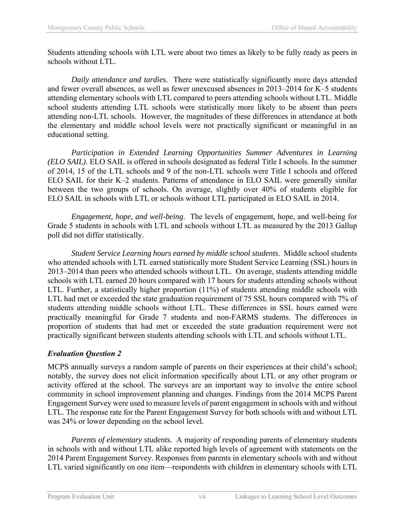Students attending schools with LTL were about two times as likely to be fully ready as peers in schools without LTL.

 *Daily attendance and tardies*. There were statistically significantly more days attended and fewer overall absences, as well as fewer unexcused absences in 2013–2014 for K–5 students attending elementary schools with LTL compared to peers attending schools without LTL. Middle school students attending LTL schools were statistically more likely to be absent than peers attending non-LTL schools. However, the magnitudes of these differences in attendance at both the elementary and middle school levels were not practically significant or meaningful in an educational setting.

 *Participation in Extended Learning Opportunities Summer Adventures in Learning (ELO SAIL)*. ELO SAIL is offered in schools designated as federal Title I schools. In the summer of 2014, 15 of the LTL schools and 9 of the non-LTL schools were Title I schools and offered ELO SAIL for their K–2 students. Patterns of attendance in ELO SAIL were generally similar between the two groups of schools. On average, slightly over 40% of students eligible for ELO SAIL in schools with LTL or schools without LTL participated in ELO SAIL in 2014.

 *Engagement, hope, and well-being*. The levels of engagement, hope, and well-being for Grade 5 students in schools with LTL and schools without LTL as measured by the 2013 Gallup poll did not differ statistically.

 *Student Service Learning hours earned by middle school students*. Middle school students who attended schools with LTL earned statistically more Student Service Learning (SSL) hours in 2013–2014 than peers who attended schools without LTL. On average, students attending middle schools with LTL earned 20 hours compared with 17 hours for students attending schools without LTL. Further, a statistically higher proportion (11%) of students attending middle schools with LTL had met or exceeded the state graduation requirement of 75 SSL hours compared with 7% of students attending middle schools without LTL. These differences in SSL hours earned were practically meaningful for Grade 7 students and non-FARMS students. The differences in proportion of students that had met or exceeded the state graduation requirement were not practically significant between students attending schools with LTL and schools without LTL.

#### *Evaluation Question 2*

MCPS annually surveys a random sample of parents on their experiences at their child's school; notably, the survey does not elicit information specifically about LTL or any other program or activity offered at the school. The surveys are an important way to involve the entire school community in school improvement planning and changes. Findings from the 2014 MCPS Parent Engagement Survey were used to measure levels of parent engagement in schools with and without LTL. The response rate for the Parent Engagement Survey for both schools with and without LTL was 24% or lower depending on the school level.

 *Parents of elementary students.* A majority of responding parents of elementary students in schools with and without LTL alike reported high levels of agreement with statements on the 2014 Parent Engagement Survey. Responses from parents in elementary schools with and without LTL varied significantly on one item—respondents with children in elementary schools with LTL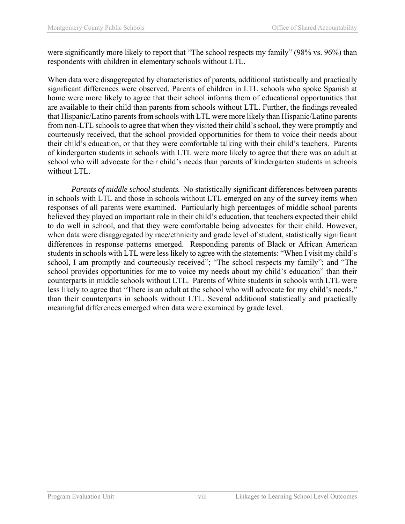were significantly more likely to report that "The school respects my family" (98% vs. 96%) than respondents with children in elementary schools without LTL.

When data were disaggregated by characteristics of parents, additional statistically and practically significant differences were observed. Parents of children in LTL schools who spoke Spanish at home were more likely to agree that their school informs them of educational opportunities that are available to their child than parents from schools without LTL. Further, the findings revealed that Hispanic/Latino parents from schools with LTL were more likely than Hispanic/Latino parents from non-LTL schools to agree that when they visited their child's school, they were promptly and courteously received, that the school provided opportunities for them to voice their needs about their child's education, or that they were comfortable talking with their child's teachers. Parents of kindergarten students in schools with LTL were more likely to agree that there was an adult at school who will advocate for their child's needs than parents of kindergarten students in schools without LTL.

*Parents of middle school students.* No statistically significant differences between parents in schools with LTL and those in schools without LTL emerged on any of the survey items when responses of all parents were examined. Particularly high percentages of middle school parents believed they played an important role in their child's education, that teachers expected their child to do well in school, and that they were comfortable being advocates for their child. However, when data were disaggregated by race/ethnicity and grade level of student, statistically significant differences in response patterns emerged. Responding parents of Black or African American students in schools with LTL were less likely to agree with the statements: "When I visit my child's school, I am promptly and courteously received"; "The school respects my family"; and "The school provides opportunities for me to voice my needs about my child's education" than their counterparts in middle schools without LTL. Parents of White students in schools with LTL were less likely to agree that "There is an adult at the school who will advocate for my child's needs," than their counterparts in schools without LTL. Several additional statistically and practically meaningful differences emerged when data were examined by grade level.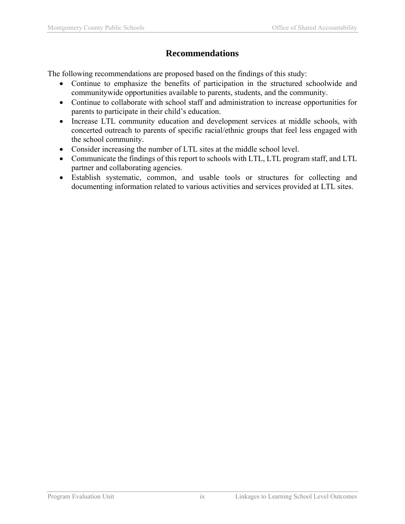## **Recommendations**

The following recommendations are proposed based on the findings of this study:

- Continue to emphasize the benefits of participation in the structured schoolwide and communitywide opportunities available to parents, students, and the community.
- Continue to collaborate with school staff and administration to increase opportunities for parents to participate in their child's education.
- Increase LTL community education and development services at middle schools, with concerted outreach to parents of specific racial/ethnic groups that feel less engaged with the school community.
- Consider increasing the number of LTL sites at the middle school level.
- Communicate the findings of this report to schools with LTL, LTL program staff, and LTL partner and collaborating agencies.
- Establish systematic, common, and usable tools or structures for collecting and documenting information related to various activities and services provided at LTL sites.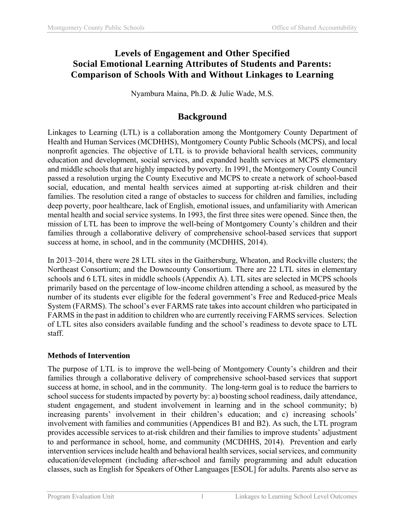## **Levels of Engagement and Other Specified Social Emotional Learning Attributes of Students and Parents: Comparison of Schools With and Without Linkages to Learning**

Nyambura Maina, Ph.D. & Julie Wade, M.S.

## **Background**

Linkages to Learning (LTL) is a collaboration among the Montgomery County Department of Health and Human Services (MCDHHS), Montgomery County Public Schools (MCPS), and local nonprofit agencies. The objective of LTL is to provide behavioral health services, community education and development, social services, and expanded health services at MCPS elementary and middle schools that are highly impacted by poverty. In 1991, the Montgomery County Council passed a resolution urging the County Executive and MCPS to create a network of school-based social, education, and mental health services aimed at supporting at-risk children and their families. The resolution cited a range of obstacles to success for children and families, including deep poverty, poor healthcare, lack of English, emotional issues, and unfamiliarity with American mental health and social service systems. In 1993, the first three sites were opened. Since then, the mission of LTL has been to improve the well-being of Montgomery County's children and their families through a collaborative delivery of comprehensive school-based services that support success at home, in school, and in the community (MCDHHS, 2014).

In 2013–2014, there were 28 LTL sites in the Gaithersburg, Wheaton, and Rockville clusters; the Northeast Consortium; and the Downcounty Consortium. There are 22 LTL sites in elementary schools and 6 LTL sites in middle schools (Appendix A). LTL sites are selected in MCPS schools primarily based on the percentage of low-income children attending a school, as measured by the number of its students ever eligible for the federal government's Free and Reduced-price Meals System (FARMS). The school's ever FARMS rate takes into account children who participated in FARMS in the past in addition to children who are currently receiving FARMS services. Selection of LTL sites also considers available funding and the school's readiness to devote space to LTL staff.

## **Methods of Intervention**

The purpose of LTL is to improve the well-being of Montgomery County's children and their families through a collaborative delivery of comprehensive school-based services that support success at home, in school, and in the community. The long-term goal is to reduce the barriers to school success for students impacted by poverty by: a) boosting school readiness, daily attendance, student engagement, and student involvement in learning and in the school community; b) increasing parents' involvement in their children's education; and c) increasing schools' involvement with families and communities (Appendices B1 and B2). As such, the LTL program provides accessible services to at-risk children and their families to improve students' adjustment to and performance in school, home, and community (MCDHHS, 2014). Prevention and early intervention services include health and behavioral health services, social services, and community education/development (including after-school and family programming and adult education classes, such as English for Speakers of Other Languages [ESOL] for adults. Parents also serve as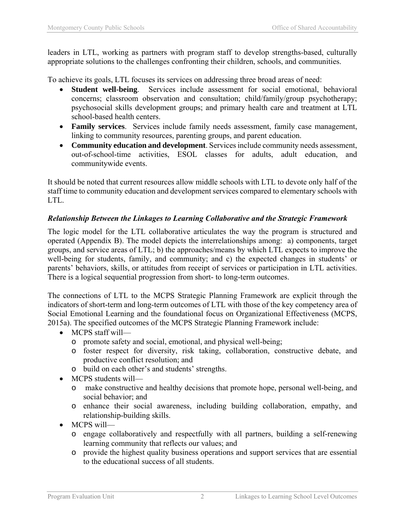leaders in LTL, working as partners with program staff to develop strengths-based, culturally appropriate solutions to the challenges confronting their children, schools, and communities.

To achieve its goals, LTL focuses its services on addressing three broad areas of need:

- **Student well-being**. Services include assessment for social emotional, behavioral concerns; classroom observation and consultation; child/family/group psychotherapy; psychosocial skills development groups; and primary health care and treatment at LTL school-based health centers.
- **Family services**. Services include family needs assessment, family case management, linking to community resources, parenting groups, and parent education.
- **Community education and development**. Services include community needs assessment, out-of-school-time activities, ESOL classes for adults, adult education, and communitywide events.

It should be noted that current resources allow middle schools with LTL to devote only half of the staff time to community education and development services compared to elementary schools with LTL.

## *Relationship Between the Linkages to Learning Collaborative and the Strategic Framework*

The logic model for the LTL collaborative articulates the way the program is structured and operated (Appendix B). The model depicts the interrelationships among: a) components, target groups, and service areas of LTL; b) the approaches/means by which LTL expects to improve the well-being for students, family, and community; and c) the expected changes in students' or parents' behaviors, skills, or attitudes from receipt of services or participation in LTL activities. There is a logical sequential progression from short- to long-term outcomes.

The connections of LTL to the MCPS Strategic Planning Framework are explicit through the indicators of short-term and long-term outcomes of LTL with those of the key competency area of Social Emotional Learning and the foundational focus on Organizational Effectiveness (MCPS, 2015a). The specified outcomes of the MCPS Strategic Planning Framework include:

- MCPS staff will
	- o promote safety and social, emotional, and physical well-being;
	- o foster respect for diversity, risk taking, collaboration, constructive debate, and productive conflict resolution; and
	- o build on each other's and students' strengths.
- MCPS students will
	- o make constructive and healthy decisions that promote hope, personal well-being, and social behavior; and
	- o enhance their social awareness, including building collaboration, empathy, and relationship-building skills.
- MCPS will
	- o engage collaboratively and respectfully with all partners, building a self-renewing learning community that reflects our values; and
	- o provide the highest quality business operations and support services that are essential to the educational success of all students.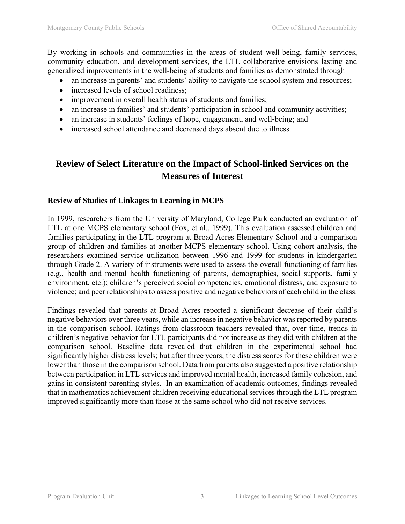By working in schools and communities in the areas of student well-being, family services, community education, and development services, the LTL collaborative envisions lasting and generalized improvements in the well-being of students and families as demonstrated through—

- an increase in parents' and students' ability to navigate the school system and resources;
- increased levels of school readiness;
- improvement in overall health status of students and families;
- an increase in families' and students' participation in school and community activities;
- an increase in students' feelings of hope, engagement, and well-being; and
- increased school attendance and decreased days absent due to illness.

## **Review of Select Literature on the Impact of School-linked Services on the Measures of Interest**

#### **Review of Studies of Linkages to Learning in MCPS**

In 1999, researchers from the University of Maryland, College Park conducted an evaluation of LTL at one MCPS elementary school (Fox, et al., 1999). This evaluation assessed children and families participating in the LTL program at Broad Acres Elementary School and a comparison group of children and families at another MCPS elementary school. Using cohort analysis, the researchers examined service utilization between 1996 and 1999 for students in kindergarten through Grade 2. A variety of instruments were used to assess the overall functioning of families (e.g., health and mental health functioning of parents, demographics, social supports, family environment, etc.); children's perceived social competencies, emotional distress, and exposure to violence; and peer relationships to assess positive and negative behaviors of each child in the class.

Findings revealed that parents at Broad Acres reported a significant decrease of their child's negative behaviors over three years, while an increase in negative behavior was reported by parents in the comparison school. Ratings from classroom teachers revealed that, over time, trends in children's negative behavior for LTL participants did not increase as they did with children at the comparison school. Baseline data revealed that children in the experimental school had significantly higher distress levels; but after three years, the distress scores for these children were lower than those in the comparison school. Data from parents also suggested a positive relationship between participation in LTL services and improved mental health, increased family cohesion, and gains in consistent parenting styles. In an examination of academic outcomes, findings revealed that in mathematics achievement children receiving educational services through the LTL program improved significantly more than those at the same school who did not receive services.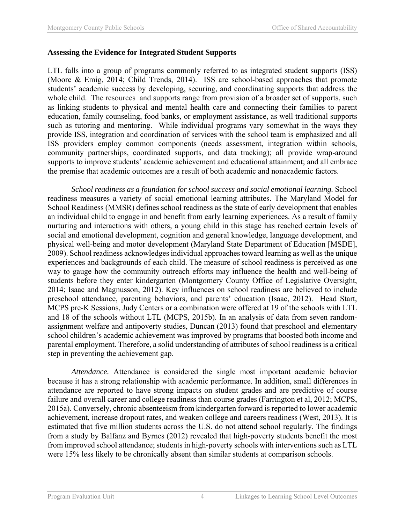#### **Assessing the Evidence for Integrated Student Supports**

LTL falls into a group of programs commonly referred to as integrated student supports (ISS) (Moore & Emig, 2014; Child Trends, 2014). ISS are school-based approaches that promote students' academic success by developing, securing, and coordinating supports that address the whole child. The resources and supports range from provision of a broader set of supports, such as linking students to physical and mental health care and connecting their families to parent education, family counseling, food banks, or employment assistance, as well traditional supports such as tutoring and mentoring. While individual programs vary somewhat in the ways they provide ISS, integration and coordination of services with the school team is emphasized and all ISS providers employ common components (needs assessment, integration within schools, community partnerships, coordinated supports, and data tracking); all provide wrap-around supports to improve students' academic achievement and educational attainment; and all embrace the premise that academic outcomes are a result of both academic and nonacademic factors.

 *School readiness as a foundation for school success and social emotional learning.* School readiness measures a variety of social emotional learning attributes. The Maryland Model for School Readiness (MMSR) defines school readiness as the state of early development that enables an individual child to engage in and benefit from early learning experiences. As a result of family nurturing and interactions with others, a young child in this stage has reached certain levels of social and emotional development, cognition and general knowledge, language development, and physical well-being and motor development (Maryland State Department of Education [MSDE], 2009). School readiness acknowledges individual approaches toward learning as well as the unique experiences and backgrounds of each child. The measure of school readiness is perceived as one way to gauge how the community outreach efforts may influence the health and well-being of students before they enter kindergarten (Montgomery County Office of Legislative Oversight, 2014; Isaac and Magnusson, 2012). Key influences on school readiness are believed to include preschool attendance, parenting behaviors, and parents' education (Isaac, 2012). Head Start, MCPS pre-K Sessions, Judy Centers or a combination were offered at 19 of the schools with LTL and 18 of the schools without LTL (MCPS, 2015b). In an analysis of data from seven randomassignment welfare and antipoverty studies, Duncan (2013) found that preschool and elementary school children's academic achievement was improved by programs that boosted both income and parental employment. Therefore, a solid understanding of attributes of school readiness is a critical step in preventing the achievement gap.

 *Attendance.* Attendance is considered the single most important academic behavior because it has a strong relationship with academic performance. In addition, small differences in attendance are reported to have strong impacts on student grades and are predictive of course failure and overall career and college readiness than course grades (Farrington et al, 2012; MCPS, 2015a). Conversely, chronic absenteeism from kindergarten forward is reported to lower academic achievement, increase dropout rates, and weaken college and careers readiness (West, 2013). It is estimated that five million students across the U.S. do not attend school regularly. The findings from a study by Balfanz and Byrnes (2012) revealed that high‐poverty students benefit the most from improved school attendance; students in high-poverty schools with interventions such as LTL were 15% less likely to be chronically absent than similar students at comparison schools.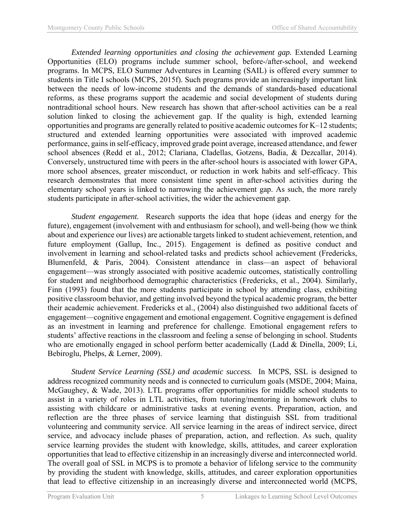*Extended learning opportunities and closing the achievement gap.* Extended Learning Opportunities (ELO) programs include summer school, before-/after-school, and weekend programs. In MCPS, ELO Summer Adventures in Learning (SAIL) is offered every summer to students in Title I schools (MCPS, 2015f). Such programs provide an increasingly important link between the needs of low-income students and the demands of standards-based educational reforms, as these programs support the academic and social development of students during nontraditional school hours. New research has shown that after-school activities can be a real solution linked to closing the achievement gap. If the quality is high, extended learning opportunities and programs are generally related to positive academic outcomes for K–12 students; structured and extended learning opportunities were associated with improved academic performance, gains in self-efficacy, improved grade point average, increased attendance, and fewer school absences (Redd et al., 2012; Clariana, Cladellas, Gotzens, Badia, & Dezcallar, 2014). Conversely, unstructured time with peers in the after-school hours is associated with lower GPA, more school absences, greater misconduct, or reduction in work habits and self-efficacy. This research demonstrates that more consistent time spent in after-school activities during the elementary school years is linked to narrowing the achievement gap. As such, the more rarely students participate in after-school activities, the wider the achievement gap.

 *Student engagement.* Research supports the idea that hope (ideas and energy for the future), engagement (involvement with and enthusiasm for school), and well-being (how we think about and experience our lives) are actionable targets linked to student achievement, retention, and future employment (Gallup, Inc., 2015). Engagement is defined as positive conduct and involvement in learning and school-related tasks and predicts school achievement (Fredericks, Blumenfeld, & Paris, 2004). Consistent attendance in class—an aspect of behavioral engagement—was strongly associated with positive academic outcomes, statistically controlling for student and neighborhood demographic characteristics (Fredericks, et al., 2004). Similarly, Finn (1993) found that the more students participate in school by attending class, exhibiting positive classroom behavior, and getting involved beyond the typical academic program, the better their academic achievement. Fredericks et al., (2004) also distinguished two additional facets of engagement—cognitive engagement and emotional engagement. Cognitive engagement is defined as an investment in learning and preference for challenge. Emotional engagement refers to students' affective reactions in the classroom and feeling a sense of belonging in school. Students who are emotionally engaged in school perform better academically (Ladd & Dinella, 2009; Li, Bebiroglu, Phelps, & Lerner, 2009).

 *Student Service Learning (SSL) and academic success.* In MCPS, SSL is designed to address recognized community needs and is connected to curriculum goals (MSDE, 2004; Maina, McGaughey, & Wade, 2013). LTL programs offer opportunities for middle school students to assist in a variety of roles in LTL activities, from tutoring/mentoring in homework clubs to assisting with childcare or administrative tasks at evening events. Preparation, action, and reflection are the three phases of service learning that distinguish SSL from traditional volunteering and community service. All service learning in the areas of indirect service, direct service, and advocacy include phases of preparation, action, and reflection. As such, quality service learning provides the student with knowledge, skills, attitudes, and career exploration opportunities that lead to effective citizenship in an increasingly diverse and interconnected world. The overall goal of SSL in MCPS is to promote a behavior of lifelong service to the community by providing the student with knowledge, skills, attitudes, and career exploration opportunities that lead to effective citizenship in an increasingly diverse and interconnected world (MCPS,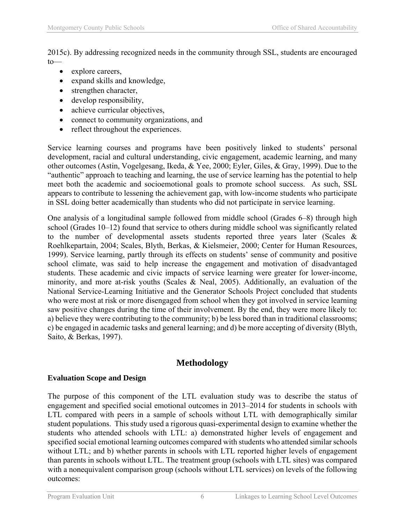2015c). By addressing recognized needs in the community through SSL, students are encouraged to—

- explore careers,
- expand skills and knowledge,
- strengthen character,
- develop responsibility,
- achieve curricular objectives,
- connect to community organizations, and
- reflect throughout the experiences.

Service learning courses and programs have been positively linked to students' personal development, racial and cultural understanding, civic engagement, academic learning, and many other outcomes (Astin, Vogelgesang, Ikeda, & Yee, 2000; Eyler, Giles, & Gray, 1999). Due to the "authentic" approach to teaching and learning, the use of service learning has the potential to help meet both the academic and socioemotional goals to promote school success. As such, SSL appears to contribute to lessening the achievement gap, with low-income students who participate in SSL doing better academically than students who did not participate in service learning.

One analysis of a longitudinal sample followed from middle school (Grades 6–8) through high school (Grades 10–12) found that service to others during middle school was significantly related to the number of developmental assets students reported three years later (Scales & Roehlkepartain, 2004; Scales, Blyth, Berkas, & Kielsmeier, 2000; Center for Human Resources, 1999). Service learning, partly through its effects on students' sense of community and positive school climate, was said to help increase the engagement and motivation of disadvantaged students. These academic and civic impacts of service learning were greater for lower-income, minority, and more at-risk youths (Scales & Neal, 2005). Additionally, an evaluation of the National Service-Learning Initiative and the Generator Schools Project concluded that students who were most at risk or more disengaged from school when they got involved in service learning saw positive changes during the time of their involvement. By the end, they were more likely to: a) believe they were contributing to the community; b) be less bored than in traditional classrooms; c) be engaged in academic tasks and general learning; and d) be more accepting of diversity (Blyth, Saito, & Berkas, 1997).

## **Methodology**

#### **Evaluation Scope and Design**

The purpose of this component of the LTL evaluation study was to describe the status of engagement and specified social emotional outcomes in 2013–2014 for students in schools with LTL compared with peers in a sample of schools without LTL with demographically similar student populations. This study used a rigorous quasi-experimental design to examine whether the students who attended schools with LTL: a) demonstrated higher levels of engagement and specified social emotional learning outcomes compared with students who attended similar schools without LTL; and b) whether parents in schools with LTL reported higher levels of engagement than parents in schools without LTL. The treatment group (schools with LTL sites) was compared with a nonequivalent comparison group (schools without LTL services) on levels of the following outcomes: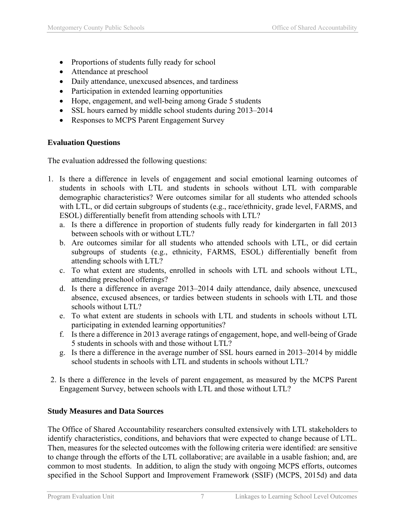- Proportions of students fully ready for school
- Attendance at preschool
- Daily attendance, unexcused absences, and tardiness
- Participation in extended learning opportunities
- Hope, engagement, and well-being among Grade 5 students
- SSL hours earned by middle school students during 2013–2014
- Responses to MCPS Parent Engagement Survey

## **Evaluation Questions**

The evaluation addressed the following questions:

- 1. Is there a difference in levels of engagement and social emotional learning outcomes of students in schools with LTL and students in schools without LTL with comparable demographic characteristics? Were outcomes similar for all students who attended schools with LTL, or did certain subgroups of students (e.g., race/ethnicity, grade level, FARMS, and ESOL) differentially benefit from attending schools with LTL?
	- a. Is there a difference in proportion of students fully ready for kindergarten in fall 2013 between schools with or without LTL?
	- b. Are outcomes similar for all students who attended schools with LTL, or did certain subgroups of students (e.g., ethnicity, FARMS, ESOL) differentially benefit from attending schools with LTL?
	- c. To what extent are students, enrolled in schools with LTL and schools without LTL, attending preschool offerings?
	- d. Is there a difference in average 2013–2014 daily attendance, daily absence, unexcused absence, excused absences, or tardies between students in schools with LTL and those schools without LTL?
	- e. To what extent are students in schools with LTL and students in schools without LTL participating in extended learning opportunities?
	- f. Is there a difference in 2013 average ratings of engagement, hope, and well-being of Grade 5 students in schools with and those without LTL?
	- g. Is there a difference in the average number of SSL hours earned in 2013–2014 by middle school students in schools with LTL and students in schools without LTL?
- 2. Is there a difference in the levels of parent engagement, as measured by the MCPS Parent Engagement Survey, between schools with LTL and those without LTL?

## **Study Measures and Data Sources**

The Office of Shared Accountability researchers consulted extensively with LTL stakeholders to identify characteristics, conditions, and behaviors that were expected to change because of LTL. Then, measures for the selected outcomes with the following criteria were identified: are sensitive to change through the efforts of the LTL collaborative; are available in a usable fashion; and, are common to most students. In addition, to align the study with ongoing MCPS efforts, outcomes specified in the School Support and Improvement Framework (SSIF) (MCPS, 2015d) and data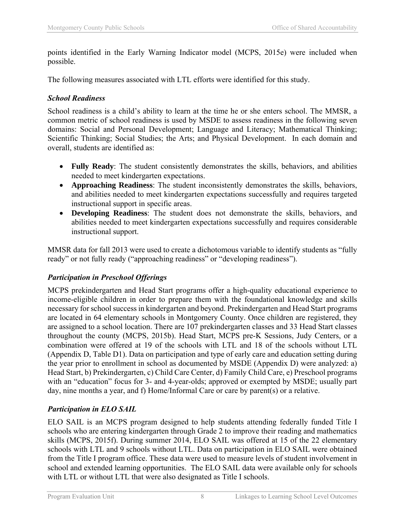points identified in the Early Warning Indicator model (MCPS, 2015e) were included when possible.

The following measures associated with LTL efforts were identified for this study.

## *School Readiness*

School readiness is a child's ability to learn at the time he or she enters school. The MMSR, a common metric of school readiness is used by MSDE to assess readiness in the following seven domains: Social and Personal Development; Language and Literacy; Mathematical Thinking; Scientific Thinking; Social Studies; the Arts; and Physical Development. In each domain and overall, students are identified as:

- **Fully Ready**: The student consistently demonstrates the skills, behaviors, and abilities needed to meet kindergarten expectations.
- **Approaching Readiness**: The student inconsistently demonstrates the skills, behaviors, and abilities needed to meet kindergarten expectations successfully and requires targeted instructional support in specific areas.
- **Developing Readiness**: The student does not demonstrate the skills, behaviors, and abilities needed to meet kindergarten expectations successfully and requires considerable instructional support.

MMSR data for fall 2013 were used to create a dichotomous variable to identify students as "fully ready" or not fully ready ("approaching readiness" or "developing readiness").

## *Participation in Preschool Offerings*

MCPS prekindergarten and Head Start programs offer a high-quality educational experience to income-eligible children in order to prepare them with the foundational knowledge and skills necessary for school success in kindergarten and beyond. Prekindergarten and Head Start programs are located in 64 elementary schools in Montgomery County. Once children are registered, they are assigned to a school location. There are 107 prekindergarten classes and 33 Head Start classes throughout the county (MCPS, 2015b). Head Start, MCPS pre-K Sessions, Judy Centers, or a combination were offered at 19 of the schools with LTL and 18 of the schools without LTL (Appendix D, Table D1). Data on participation and type of early care and education setting during the year prior to enrollment in school as documented by MSDE (Appendix D) were analyzed: a) Head Start, b) Prekindergarten, c) Child Care Center, d) Family Child Care, e) Preschool programs with an "education" focus for 3- and 4-year-olds; approved or exempted by MSDE; usually part day, nine months a year, and f) Home/Informal Care or care by parent(s) or a relative.

## *Participation in ELO SAIL*

ELO SAIL is an MCPS program designed to help students attending federally funded Title I schools who are entering kindergarten through Grade 2 to improve their reading and mathematics skills (MCPS, 2015f). During summer 2014, ELO SAIL was offered at 15 of the 22 elementary schools with LTL and 9 schools without LTL. Data on participation in ELO SAIL were obtained from the Title I program office. These data were used to measure levels of student involvement in school and extended learning opportunities. The ELO SAIL data were available only for schools with LTL or without LTL that were also designated as Title I schools.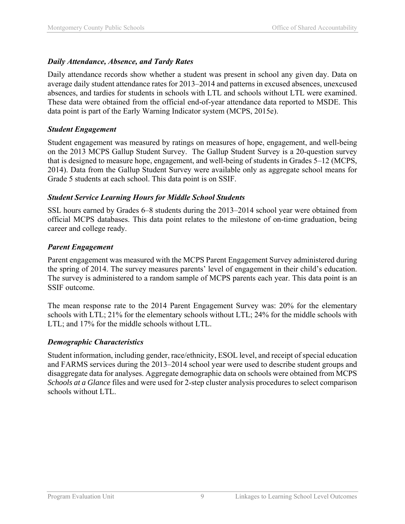#### *Daily Attendance, Absence, and Tardy Rates*

Daily attendance records show whether a student was present in school any given day. Data on average daily student attendance rates for 2013–2014 and patterns in excused absences, unexcused absences, and tardies for students in schools with LTL and schools without LTL were examined. These data were obtained from the official end-of-year attendance data reported to MSDE. This data point is part of the Early Warning Indicator system (MCPS, 2015e).

#### *Student Engagement*

Student engagement was measured by ratings on measures of hope, engagement, and well-being on the 2013 MCPS Gallup Student Survey. The Gallup Student Survey is a 20-question survey that is designed to measure hope, engagement, and well-being of students in Grades 5–12 (MCPS, 2014). Data from the Gallup Student Survey were available only as aggregate school means for Grade 5 students at each school. This data point is on SSIF.

#### *Student Service Learning Hours for Middle School Students*

SSL hours earned by Grades 6–8 students during the 2013–2014 school year were obtained from official MCPS databases. This data point relates to the milestone of on-time graduation, being career and college ready.

#### *Parent Engagement*

Parent engagement was measured with the MCPS Parent Engagement Survey administered during the spring of 2014. The survey measures parents' level of engagement in their child's education. The survey is administered to a random sample of MCPS parents each year. This data point is an SSIF outcome.

The mean response rate to the 2014 Parent Engagement Survey was: 20% for the elementary schools with LTL; 21% for the elementary schools without LTL; 24% for the middle schools with LTL; and 17% for the middle schools without LTL.

#### *Demographic Characteristics*

Student information, including gender, race/ethnicity, ESOL level, and receipt of special education and FARMS services during the 2013–2014 school year were used to describe student groups and disaggregate data for analyses. Aggregate demographic data on schools were obtained from MCPS *Schools at a Glance* files and were used for 2-step cluster analysis procedures to select comparison schools without LTL.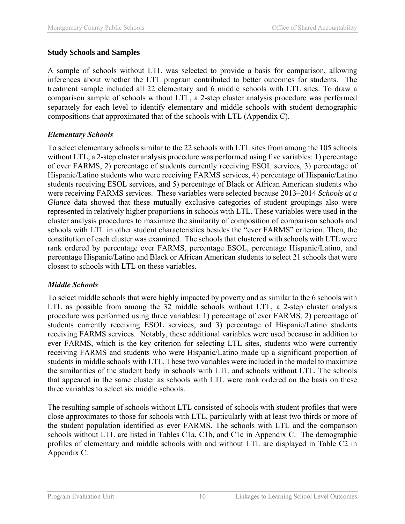## **Study Schools and Samples**

A sample of schools without LTL was selected to provide a basis for comparison, allowing inferences about whether the LTL program contributed to better outcomes for students. The treatment sample included all 22 elementary and 6 middle schools with LTL sites. To draw a comparison sample of schools without LTL, a 2-step cluster analysis procedure was performed separately for each level to identify elementary and middle schools with student demographic compositions that approximated that of the schools with LTL (Appendix C).

## *Elementary Schools*

To select elementary schools similar to the 22 schools with LTL sites from among the 105 schools without LTL, a 2-step cluster analysis procedure was performed using five variables: 1) percentage of ever FARMS, 2) percentage of students currently receiving ESOL services, 3) percentage of Hispanic/Latino students who were receiving FARMS services, 4) percentage of Hispanic/Latino students receiving ESOL services, and 5) percentage of Black or African American students who were receiving FARMS services. These variables were selected because 2013–2014 *Schools at a Glance* data showed that these mutually exclusive categories of student groupings also were represented in relatively higher proportions in schools with LTL. These variables were used in the cluster analysis procedures to maximize the similarity of composition of comparison schools and schools with LTL in other student characteristics besides the "ever FARMS" criterion. Then, the constitution of each cluster was examined. The schools that clustered with schools with LTL were rank ordered by percentage ever FARMS, percentage ESOL, percentage Hispanic/Latino, and percentage Hispanic/Latino and Black or African American students to select 21 schools that were closest to schools with LTL on these variables.

## *Middle Schools*

To select middle schools that were highly impacted by poverty and as similar to the 6 schools with LTL as possible from among the 32 middle schools without LTL, a 2-step cluster analysis procedure was performed using three variables: 1) percentage of ever FARMS, 2) percentage of students currently receiving ESOL services, and 3) percentage of Hispanic/Latino students receiving FARMS services. Notably, these additional variables were used because in addition to ever FARMS, which is the key criterion for selecting LTL sites, students who were currently receiving FARMS and students who were Hispanic/Latino made up a significant proportion of students in middle schools with LTL. These two variables were included in the model to maximize the similarities of the student body in schools with LTL and schools without LTL. The schools that appeared in the same cluster as schools with LTL were rank ordered on the basis on these three variables to select six middle schools.

The resulting sample of schools without LTL consisted of schools with student profiles that were close approximates to those for schools with LTL, particularly with at least two thirds or more of the student population identified as ever FARMS. The schools with LTL and the comparison schools without LTL are listed in Tables C1a, C1b, and C1c in Appendix C. The demographic profiles of elementary and middle schools with and without LTL are displayed in Table C2 in Appendix C.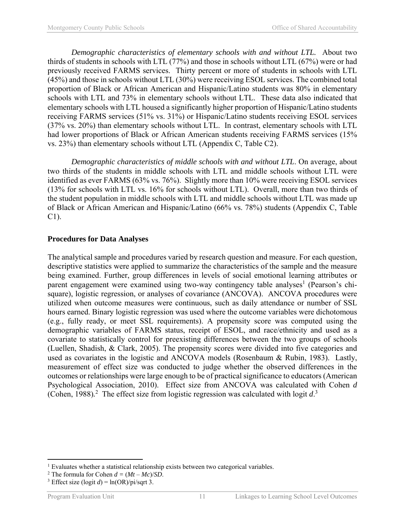*Demographic characteristics of elementary schools with and without LTL.* About two thirds of students in schools with LTL (77%) and those in schools without LTL (67%) were or had previously received FARMS services. Thirty percent or more of students in schools with LTL (45%) and those in schools without LTL (30%) were receiving ESOL services. The combined total proportion of Black or African American and Hispanic/Latino students was 80% in elementary schools with LTL and 73% in elementary schools without LTL. These data also indicated that elementary schools with LTL housed a significantly higher proportion of Hispanic/Latino students receiving FARMS services (51% vs. 31%) or Hispanic/Latino students receiving ESOL services (37% vs. 20%) than elementary schools without LTL. In contrast, elementary schools with LTL had lower proportions of Black or African American students receiving FARMS services (15%) vs. 23%) than elementary schools without LTL (Appendix C, Table C2).

 *Demographic characteristics of middle schools with and without LTL*. On average, about two thirds of the students in middle schools with LTL and middle schools without LTL were identified as ever FARMS (63% vs. 76%). Slightly more than 10% were receiving ESOL services (13% for schools with LTL vs. 16% for schools without LTL). Overall, more than two thirds of the student population in middle schools with LTL and middle schools without LTL was made up of Black or African American and Hispanic/Latino (66% vs. 78%) students (Appendix C, Table C1).

#### **Procedures for Data Analyses**

The analytical sample and procedures varied by research question and measure. For each question, descriptive statistics were applied to summarize the characteristics of the sample and the measure being examined. Further, group differences in levels of social emotional learning attributes or parent engagement were examined using two-way contingency table analyses<sup>1</sup> (Pearson's chisquare), logistic regression, or analyses of covariance (ANCOVA). ANCOVA procedures were utilized when outcome measures were continuous, such as daily attendance or number of SSL hours earned. Binary logistic regression was used where the outcome variables were dichotomous (e.g., fully ready, or meet SSL requirements). A propensity score was computed using the demographic variables of FARMS status, receipt of ESOL, and race/ethnicity and used as a covariate to statistically control for preexisting differences between the two groups of schools (Luellen, Shadish, & Clark, 2005). The propensity scores were divided into five categories and used as covariates in the logistic and ANCOVA models (Rosenbaum & Rubin, 1983). Lastly, measurement of effect size was conducted to judge whether the observed differences in the outcomes or relationships were large enough to be of practical significance to educators (American Psychological Association, 2010). Effect size from ANCOVA was calculated with Cohen *d* (Cohen, 1988).<sup>2</sup> The effect size from logistic regression was calculated with logit  $d^3$ .

 $\overline{a}$ 

<sup>&</sup>lt;sup>1</sup> Evaluates whether a statistical relationship exists between two categorical variables.

<sup>&</sup>lt;sup>2</sup> The formula for Cohen  $d = (Mt - Mc)/SD$ .<br><sup>3</sup> Effect size (logit  $d$ ) = ln(OR)/pi/sqrt 3

<sup>&</sup>lt;sup>3</sup> Effect size (logit  $d$ ) = ln(OR)/pi/sqrt 3.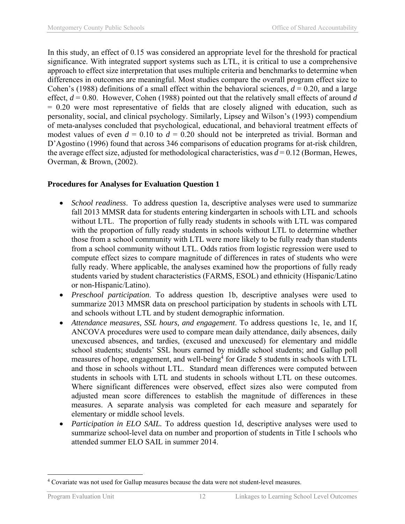In this study, an effect of 0.15 was considered an appropriate level for the threshold for practical significance. With integrated support systems such as LTL, it is critical to use a comprehensive approach to effect size interpretation that uses multiple criteria and benchmarks to determine when differences in outcomes are meaningful. Most studies compare the overall program effect size to Cohen's (1988) definitions of a small effect within the behavioral sciences,  $d = 0.20$ , and a large effect, *d* = 0.80. However, Cohen (1988) pointed out that the relatively small effects of around *d* = 0.20 were most representative of fields that are closely aligned with education, such as personality, social, and clinical psychology. Similarly, Lipsey and Wilson's (1993) compendium of meta-analyses concluded that psychological, educational, and behavioral treatment effects of modest values of even  $d = 0.10$  to  $d = 0.20$  should not be interpreted as trivial. Borman and D'Agostino (1996) found that across 346 comparisons of education programs for at-risk children, the average effect size, adjusted for methodological characteristics, was *d* = 0.12 (Borman, Hewes, Overman, & Brown, (2002).

## **Procedures for Analyses for Evaluation Question 1**

- *School readiness*. To address question 1a, descriptive analyses were used to summarize fall 2013 MMSR data for students entering kindergarten in schools with LTL and schools without LTL. The proportion of fully ready students in schools with LTL was compared with the proportion of fully ready students in schools without LTL to determine whether those from a school community with LTL were more likely to be fully ready than students from a school community without LTL. Odds ratios from logistic regression were used to compute effect sizes to compare magnitude of differences in rates of students who were fully ready. Where applicable, the analyses examined how the proportions of fully ready students varied by student characteristics (FARMS, ESOL) and ethnicity (Hispanic/Latino or non-Hispanic/Latino).
- *Preschool participation*. To address question 1b, descriptive analyses were used to summarize 2013 MMSR data on preschool participation by students in schools with LTL and schools without LTL and by student demographic information.
- *Attendance measures, SSL hours, and engagement*. To address questions 1c, 1e, and 1f, ANCOVA procedures were used to compare mean daily attendance, daily absences, daily unexcused absences, and tardies, (excused and unexcused) for elementary and middle school students; students' SSL hours earned by middle school students; and Gallup poll measures of hope, engagement, and well-being<sup>4</sup> for Grade 5 students in schools with LTL and those in schools without LTL. Standard mean differences were computed between students in schools with LTL and students in schools without LTL on these outcomes. Where significant differences were observed, effect sizes also were computed from adjusted mean score differences to establish the magnitude of differences in these measures. A separate analysis was completed for each measure and separately for elementary or middle school levels.
- *Participation in ELO SAIL.* To address question 1d, descriptive analyses were used to summarize school-level data on number and proportion of students in Title I schools who attended summer ELO SAIL in summer 2014.

<sup>1</sup> <sup>4</sup> Covariate was not used for Gallup measures because the data were not student-level measures.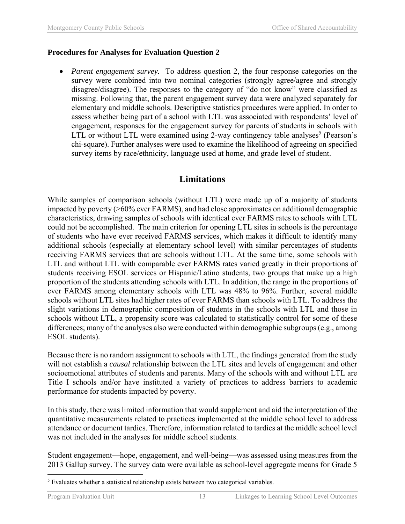#### **Procedures for Analyses for Evaluation Question 2**

• *Parent engagement survey.* To address question 2, the four response categories on the survey were combined into two nominal categories (strongly agree/agree and strongly disagree/disagree). The responses to the category of "do not know" were classified as missing. Following that, the parent engagement survey data were analyzed separately for elementary and middle schools. Descriptive statistics procedures were applied. In order to assess whether being part of a school with LTL was associated with respondents' level of engagement, responses for the engagement survey for parents of students in schools with LTL or without LTL were examined using 2-way contingency table analyses<sup>5</sup> (Pearson's chi-square). Further analyses were used to examine the likelihood of agreeing on specified survey items by race/ethnicity, language used at home, and grade level of student.

## **Limitations**

While samples of comparison schools (without LTL) were made up of a majority of students impacted by poverty (>60% ever FARMS), and had close approximates on additional demographic characteristics, drawing samples of schools with identical ever FARMS rates to schools with LTL could not be accomplished. The main criterion for opening LTL sites in schools is the percentage of students who have ever received FARMS services, which makes it difficult to identify many additional schools (especially at elementary school level) with similar percentages of students receiving FARMS services that are schools without LTL. At the same time, some schools with LTL and without LTL with comparable ever FARMS rates varied greatly in their proportions of students receiving ESOL services or Hispanic/Latino students, two groups that make up a high proportion of the students attending schools with LTL. In addition, the range in the proportions of ever FARMS among elementary schools with LTL was 48% to 96%. Further, several middle schools without LTL sites had higher rates of ever FARMS than schools with LTL. To address the slight variations in demographic composition of students in the schools with LTL and those in schools without LTL, a propensity score was calculated to statistically control for some of these differences; many of the analyses also were conducted within demographic subgroups (e.g., among ESOL students).

Because there is no random assignment to schools with LTL, the findings generated from the study will not establish a *causal* relationship between the LTL sites and levels of engagement and other socioemotional attributes of students and parents. Many of the schools with and without LTL are Title I schools and/or have instituted a variety of practices to address barriers to academic performance for students impacted by poverty.

In this study, there was limited information that would supplement and aid the interpretation of the quantitative measurements related to practices implemented at the middle school level to address attendance or document tardies. Therefore, information related to tardies at the middle school level was not included in the analyses for middle school students.

Student engagement—hope, engagement, and well-being—was assessed using measures from the 2013 Gallup survey. The survey data were available as school-level aggregate means for Grade 5

 $\overline{a}$ <sup>5</sup> Evaluates whether a statistical relationship exists between two categorical variables.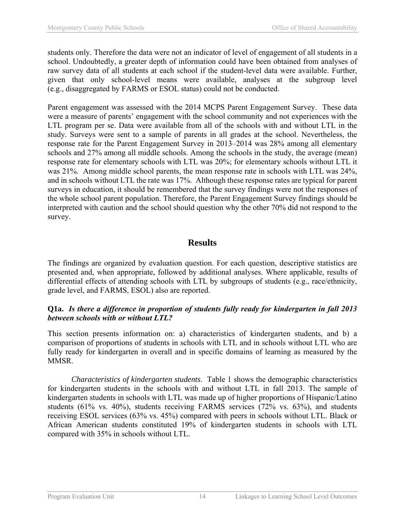students only. Therefore the data were not an indicator of level of engagement of all students in a school. Undoubtedly, a greater depth of information could have been obtained from analyses of raw survey data of all students at each school if the student-level data were available. Further, given that only school-level means were available, analyses at the subgroup level (e.g., disaggregated by FARMS or ESOL status) could not be conducted.

Parent engagement was assessed with the 2014 MCPS Parent Engagement Survey. These data were a measure of parents' engagement with the school community and not experiences with the LTL program per se. Data were available from all of the schools with and without LTL in the study. Surveys were sent to a sample of parents in all grades at the school. Nevertheless, the response rate for the Parent Engagement Survey in 2013–2014 was 28% among all elementary schools and 27% among all middle schools. Among the schools in the study, the average (mean) response rate for elementary schools with LTL was 20%; for elementary schools without LTL it was 21%. Among middle school parents, the mean response rate in schools with LTL was 24%, and in schools without LTL the rate was 17%. Although these response rates are typical for parent surveys in education, it should be remembered that the survey findings were not the responses of the whole school parent population. Therefore, the Parent Engagement Survey findings should be interpreted with caution and the school should question why the other 70% did not respond to the survey.

## **Results**

The findings are organized by evaluation question. For each question, descriptive statistics are presented and, when appropriate, followed by additional analyses. Where applicable, results of differential effects of attending schools with LTL by subgroups of students (e.g., race/ethnicity, grade level, and FARMS, ESOL) also are reported.

#### **Q1a.** *Is there a difference in proportion of students fully ready for kindergarten in fall 2013 between schools with or without LTL?*

This section presents information on: a) characteristics of kindergarten students, and b) a comparison of proportions of students in schools with LTL and in schools without LTL who are fully ready for kindergarten in overall and in specific domains of learning as measured by the MMSR.

*Characteristics of kindergarten students*. Table 1 shows the demographic characteristics for kindergarten students in the schools with and without LTL in fall 2013. The sample of kindergarten students in schools with LTL was made up of higher proportions of Hispanic/Latino students (61% vs. 40%), students receiving FARMS services (72% vs. 63%), and students receiving ESOL services (63% vs. 45%) compared with peers in schools without LTL. Black or African American students constituted 19% of kindergarten students in schools with LTL compared with 35% in schools without LTL.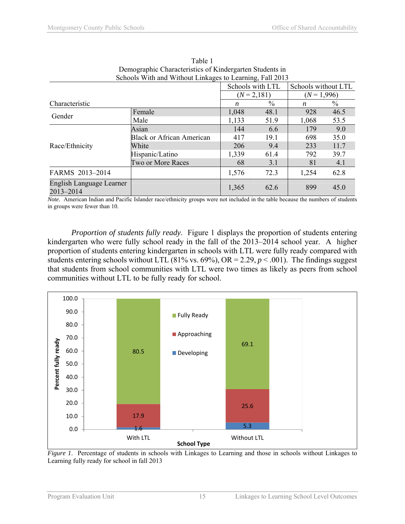| Schools With and Without Linkages to Learning, Fall 2013 |                                  |               |                  |               |                     |  |
|----------------------------------------------------------|----------------------------------|---------------|------------------|---------------|---------------------|--|
|                                                          |                                  |               | Schools with LTL |               | Schools without LTL |  |
|                                                          |                                  | $(N = 2,181)$ |                  | $(N = 1,996)$ |                     |  |
| Characteristic                                           |                                  | n             | $\frac{0}{0}$    | n             | $\frac{0}{0}$       |  |
| Gender                                                   | Female                           | 1,048         | 48.1             | 928           | 46.5                |  |
|                                                          | Male                             | 1,133         | 51.9             | 1,068         | 53.5                |  |
|                                                          | Asian                            | 144           | 6.6              | 179           | 9.0                 |  |
|                                                          | <b>Black or African American</b> | 417           | 19.1             | 698           | 35.0                |  |
| Race/Ethnicity                                           | White                            | 206           | 9.4              | 233           | 11.7                |  |
|                                                          | Hispanic/Latino                  | 1,339         | 61.4             | 792           | 39.7                |  |
|                                                          | Two or More Races                | 68            | 3.1              | 81            | 4.1                 |  |
| FARMS 2013-2014                                          |                                  | 1,576         | 72.3             | 1,254         | 62.8                |  |
| English Language Learner<br>2013-2014                    |                                  | 1,365         | 62.6             | 899           | 45.0                |  |

Table 1 Demographic Characteristics of Kindergarten Students in Schools With and Without Linkages to Learning, Fall 2013

*Note.* American Indian and Pacific Islander race/ethnicity groups were not included in the table because the numbers of students in groups were fewer than 10.

*Proportion of students fully ready*. Figure 1 displays the proportion of students entering kindergarten who were fully school ready in the fall of the 2013–2014 school year. A higher proportion of students entering kindergarten in schools with LTL were fully ready compared with students entering schools without LTL (81% vs. 69%), OR = 2.29,  $p < .001$ ). The findings suggest that students from school communities with LTL were two times as likely as peers from school communities without LTL to be fully ready for school.



*Figure 1*. Percentage of students in schools with Linkages to Learning and those in schools without Linkages to Learning fully ready for school in fall 2013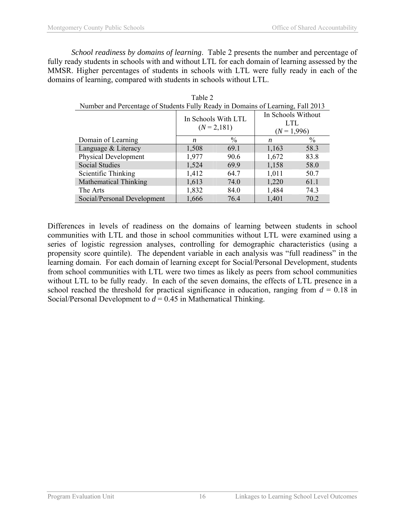*School readiness by domains of learning*. Table 2 presents the number and percentage of fully ready students in schools with and without LTL for each domain of learning assessed by the MMSR. Higher percentages of students in schools with LTL were fully ready in each of the domains of learning, compared with students in schools without LTL.

Table 2

| Number and Percentage of Students Fully Ready in Domains of Learning, Fall 2013 |                                      |      |                                          |               |  |  |
|---------------------------------------------------------------------------------|--------------------------------------|------|------------------------------------------|---------------|--|--|
|                                                                                 | In Schools With LTL<br>$(N = 2,181)$ |      | In Schools Without<br>LTL<br>$(N=1,996)$ |               |  |  |
| Domain of Learning                                                              | n                                    | $\%$ | n                                        | $\frac{0}{0}$ |  |  |
| Language & Literacy                                                             | 1,508                                | 69.1 | 1,163                                    | 58.3          |  |  |
| <b>Physical Development</b>                                                     | 1,977                                | 90.6 | 1,672                                    | 83.8          |  |  |
| Social Studies                                                                  | 1,524                                | 69.9 | 1,158                                    | 58.0          |  |  |
| Scientific Thinking                                                             | 1,412                                | 64.7 | 1,011                                    | 50.7          |  |  |
| <b>Mathematical Thinking</b>                                                    | 1,613                                | 74.0 | 1,220                                    | 61.1          |  |  |
| The Arts                                                                        | 1,832                                | 84.0 | 1,484                                    | 74.3          |  |  |
| Social/Personal Development                                                     | 1,666                                | 76.4 | 1,401                                    | 70.2          |  |  |

Differences in levels of readiness on the domains of learning between students in school communities with LTL and those in school communities without LTL were examined using a series of logistic regression analyses, controlling for demographic characteristics (using a propensity score quintile). The dependent variable in each analysis was "full readiness" in the learning domain. For each domain of learning except for Social/Personal Development, students from school communities with LTL were two times as likely as peers from school communities without LTL to be fully ready. In each of the seven domains, the effects of LTL presence in a school reached the threshold for practical significance in education, ranging from  $d = 0.18$  in Social/Personal Development to *d* = 0.45 in Mathematical Thinking.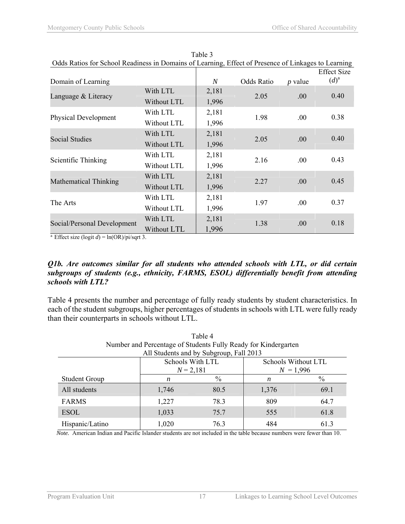| Odds Ratios for School Readiness in Domains of Learning, Effect of Presence of Linkages to Learning |             |                  |                   |           |                    |
|-----------------------------------------------------------------------------------------------------|-------------|------------------|-------------------|-----------|--------------------|
|                                                                                                     |             |                  |                   |           | <b>Effect Size</b> |
| Domain of Learning                                                                                  |             | $\boldsymbol{N}$ | <b>Odds Ratio</b> | $p$ value | $(d)^a$            |
| Language & Literacy                                                                                 | With LTL    | 2,181            | 2.05              | .00.      | 0.40               |
|                                                                                                     | Without LTL | 1,996            |                   |           |                    |
|                                                                                                     | With LTL    | 2,181            | 1.98              |           | 0.38               |
| <b>Physical Development</b>                                                                         | Without LTL | 1,996            |                   | .00       |                    |
|                                                                                                     | With LTL    | 2,181            |                   |           | 0.40               |
| <b>Social Studies</b>                                                                               | Without LTL | 1,996            | 2.05              | .00.      |                    |
|                                                                                                     | With LTL    | 2,181            |                   |           | 0.43               |
| Scientific Thinking                                                                                 | Without LTL | 1,996            | 2.16              | .00.      |                    |
|                                                                                                     | With LTL    | 2,181            | 2.27              |           | 0.45               |
| <b>Mathematical Thinking</b>                                                                        | Without LTL | 1,996            |                   | .00       |                    |
|                                                                                                     | With LTL    | 2,181            |                   |           | 0.37               |
| The Arts                                                                                            | Without LTL | 1,996            | 1.97              | .00       |                    |
|                                                                                                     | With LTL    | 2,181            | 1.38              |           | 0.18               |
| Social/Personal Development                                                                         | Without LTL | 1,996            |                   | .00       |                    |

Table 3 Odds Ratios for School Readiness in Domains of Learning, Effect of Presence of Linkages to Learning

<sup>a</sup> Effect size (logit  $d$ ) = ln(OR)/pi/sqrt 3.

#### *Q1b. Are outcomes similar for all students who attended schools with LTL, or did certain subgroups of students (e.g., ethnicity, FARMS, ESOL) differentially benefit from attending schools with LTL?*

Table 4 presents the number and percentage of fully ready students by student characteristics. In each of the student subgroups, higher percentages of students in schools with LTL were fully ready than their counterparts in schools without LTL.

| Table 4                                                        |                            |      |                     |      |  |  |  |
|----------------------------------------------------------------|----------------------------|------|---------------------|------|--|--|--|
| Number and Percentage of Students Fully Ready for Kindergarten |                            |      |                     |      |  |  |  |
| All Students and by Subgroup, Fall 2013                        |                            |      |                     |      |  |  |  |
|                                                                | Schools With LTL           |      | Schools Without LTL |      |  |  |  |
|                                                                | $N = 1,996$<br>$N = 2,181$ |      |                     |      |  |  |  |
| <b>Student Group</b>                                           | n                          | $\%$ | n                   | $\%$ |  |  |  |
| All students                                                   | 1,746                      | 80.5 | 1,376               | 69.1 |  |  |  |
| <b>FARMS</b>                                                   | 1,227                      | 78.3 | 809                 | 64.7 |  |  |  |
| <b>ESOL</b>                                                    | 1,033                      | 75.7 | 555                 | 61.8 |  |  |  |
| Hispanic/Latino                                                | 1,020                      | 763  | 484                 | 61.3 |  |  |  |

*Note.* American Indian and Pacific Islander students are not included in the table because numbers were fewer than 10.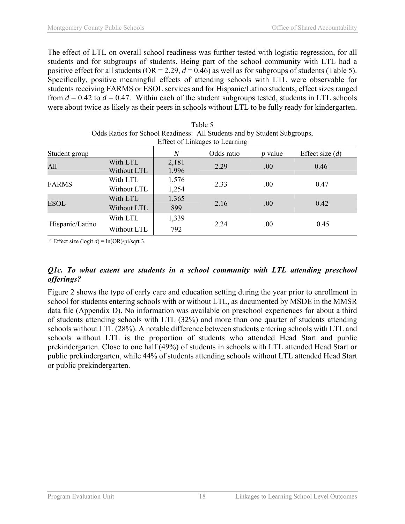The effect of LTL on overall school readiness was further tested with logistic regression, for all students and for subgroups of students. Being part of the school community with LTL had a positive effect for all students ( $OR = 2.29$ ,  $d = 0.46$ ) as well as for subgroups of students (Table 5). Specifically, positive meaningful effects of attending schools with LTL were observable for students receiving FARMS or ESOL services and for Hispanic/Latino students; effect sizes ranged from  $d = 0.42$  to  $d = 0.47$ . Within each of the student subgroups tested, students in LTL schools were about twice as likely as their peers in schools without LTL to be fully ready for kindergarten.

| Odds Ratios for School Readiness: All Students and by Student Subgroups,<br>Effect of Linkages to Learning |                         |                |            |                  |                     |  |
|------------------------------------------------------------------------------------------------------------|-------------------------|----------------|------------|------------------|---------------------|--|
| Student group                                                                                              |                         | N              | Odds ratio | <i>p</i> value   | Effect size $(d)^a$ |  |
| All                                                                                                        | With LTL<br>Without LTL | 2,181<br>1,996 | 2.29       | .00 <sub>1</sub> | 0.46                |  |
| <b>FARMS</b>                                                                                               | With LTL<br>Without LTL | 1,576<br>1,254 | 2.33       | .00.             | 0.47                |  |
| <b>ESOL</b>                                                                                                | With LTL<br>Without LTL | 1,365<br>899   | 2.16       | .00.             | 0.42                |  |
| Hispanic/Latino                                                                                            | With LTL                | 1,339          |            |                  |                     |  |
|                                                                                                            | Without LTL             | 792            | 2.24       | .00.             | 0.45                |  |

| Table 5                                                                |
|------------------------------------------------------------------------|
| Odds Ratios for School Readiness: All Students and by Student Subgroup |
| Effect of Linkages to Learning                                         |

<sup>a</sup> Effect size (logit *d*) =  $ln(OR)/pi/sqrt$  3.

#### *Q1c. To what extent are students in a school community with LTL attending preschool offerings?*

Figure 2 shows the type of early care and education setting during the year prior to enrollment in school for students entering schools with or without LTL, as documented by MSDE in the MMSR data file (Appendix D). No information was available on preschool experiences for about a third of students attending schools with LTL (32%) and more than one quarter of students attending schools without LTL (28%). A notable difference between students entering schools with LTL and schools without LTL is the proportion of students who attended Head Start and public prekindergarten. Close to one half (49%) of students in schools with LTL attended Head Start or public prekindergarten, while 44% of students attending schools without LTL attended Head Start or public prekindergarten.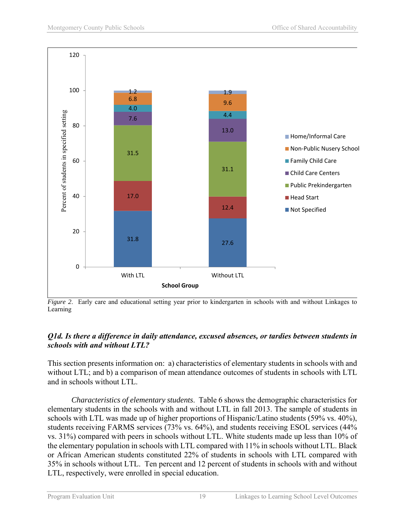

*Figure 2.* Early care and educational setting year prior to kindergarten in schools with and without Linkages to Learning

#### *Q1d. Is there a difference in daily attendance, excused absences, or tardies between students in schools with and without LTL?*

This section presents information on: a) characteristics of elementary students in schools with and without LTL; and b) a comparison of mean attendance outcomes of students in schools with LTL and in schools without LTL.

*Characteristics of elementary students*. Table 6 shows the demographic characteristics for elementary students in the schools with and without LTL in fall 2013. The sample of students in schools with LTL was made up of higher proportions of Hispanic/Latino students (59% vs. 40%), students receiving FARMS services (73% vs. 64%), and students receiving ESOL services (44% vs. 31%) compared with peers in schools without LTL. White students made up less than 10% of the elementary population in schools with LTL compared with 11% in schools without LTL. Black or African American students constituted 22% of students in schools with LTL compared with 35% in schools without LTL. Ten percent and 12 percent of students in schools with and without LTL, respectively, were enrolled in special education.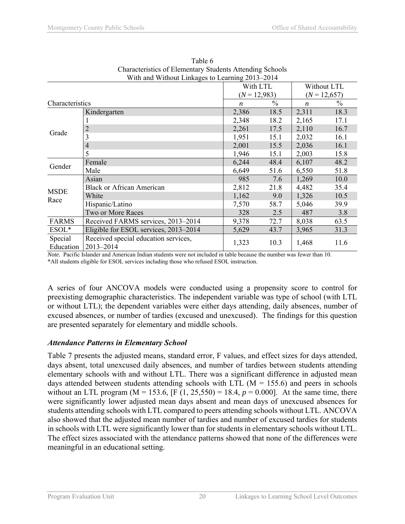|                 | $\frac{1}{100}$ and $\frac{1}{100}$ and $\frac{1}{100}$ $\frac{1}{100}$ $\frac{1}{100}$ $\frac{1}{100}$ $\frac{1}{100}$ $\frac{1}{100}$ $\frac{1}{100}$ |                  |               |                  |               |
|-----------------|---------------------------------------------------------------------------------------------------------------------------------------------------------|------------------|---------------|------------------|---------------|
|                 |                                                                                                                                                         | With LTL         |               | Without LTL      |               |
|                 |                                                                                                                                                         | $(N = 12,983)$   |               | $(N = 12,657)$   |               |
| Characteristics |                                                                                                                                                         | $\boldsymbol{n}$ | $\frac{0}{0}$ | $\boldsymbol{n}$ | $\frac{0}{0}$ |
|                 | Kindergarten                                                                                                                                            | 2,386            | 18.5          | 2,311            | 18.3          |
|                 |                                                                                                                                                         | 2,348            | 18.2          | 2,165            | 17.1          |
|                 | 2                                                                                                                                                       | 2,261            | 17.5          | 2,110            | 16.7          |
| Grade           |                                                                                                                                                         | 1,951            | 15.1          | 2,032            | 16.1          |
|                 | 4                                                                                                                                                       | 2,001            | 15.5          | 2,036            | 16.1          |
|                 | 5                                                                                                                                                       | 1,946            | 15.1          | 2,003            | 15.8          |
|                 | Female                                                                                                                                                  | 6,244            | 48.4          | 6,107            | 48.2          |
| Gender          | Male                                                                                                                                                    | 6,649            | 51.6          | 6,550            | 51.8          |
|                 | Asian                                                                                                                                                   | 985              | 7.6           | 1,269            | 10.0          |
|                 | <b>Black or African American</b>                                                                                                                        | 2,812            | 21.8          | 4,482            | 35.4          |
| <b>MSDE</b>     | White                                                                                                                                                   | 1,162            | 9.0           | 1,326            | 10.5          |
| Race            | Hispanic/Latino                                                                                                                                         | 7,570            | 58.7          | 5,046            | 39.9          |
|                 | Two or More Races                                                                                                                                       | 328              | 2.5           | 487              | 3.8           |
| <b>FARMS</b>    | Received FARMS services, 2013-2014                                                                                                                      | 9,378            | 72.7          | 8,038            | 63.5          |
| $ESOL*$         | Eligible for ESOL services, 2013–2014                                                                                                                   | 5,629            | 43.7          | 3,965            | 31.3          |
| Special         | Received special education services,                                                                                                                    |                  |               |                  |               |
| Education       | 2013-2014                                                                                                                                               | 1,323            | 10.3          | 1,468            | 11.6          |

Table 6 Characteristics of Elementary Students Attending Schools With and Without Linkages to Learning 2013–2014

*Note.* Pacific Islander and American Indian students were not included in table because the number was fewer than 10. \*All students eligible for ESOL services including those who refused ESOL instruction.

A series of four ANCOVA models were conducted using a propensity score to control for preexisting demographic characteristics. The independent variable was type of school (with LTL or without LTL); the dependent variables were either days attending, daily absences, number of excused absences, or number of tardies (excused and unexcused). The findings for this question are presented separately for elementary and middle schools.

#### *Attendance Patterns in Elementary School*

Table 7 presents the adjusted means, standard error, F values, and effect sizes for days attended, days absent, total unexcused daily absences, and number of tardies between students attending elementary schools with and without LTL. There was a significant difference in adjusted mean days attended between students attending schools with LTL ( $M = 155.6$ ) and peers in schools without an LTL program ( $M = 153.6$ , [F (1, 25,550) = 18.4,  $p = 0.000$ ]. At the same time, there were significantly lower adjusted mean days absent and mean days of unexcused absences for students attending schools with LTL compared to peers attending schools without LTL. ANCOVA also showed that the adjusted mean number of tardies and number of excused tardies for students in schools with LTL were significantly lower than for students in elementary schools without LTL. The effect sizes associated with the attendance patterns showed that none of the differences were meaningful in an educational setting.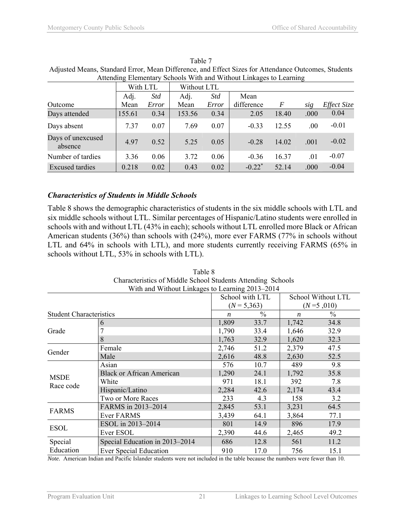| <i>Recognity Elementary Sensons when and wherear Emiliages to Ecamining</i> |        |            |        |             |                      |       |      |             |  |  |  |
|-----------------------------------------------------------------------------|--------|------------|--------|-------------|----------------------|-------|------|-------------|--|--|--|
|                                                                             |        | With LTL   |        | Without LTL |                      |       |      |             |  |  |  |
|                                                                             | Adj.   | <b>Std</b> | Adj.   | <i>Std</i>  | Mean                 |       |      |             |  |  |  |
| Outcome                                                                     | Mean   | Error      | Mean   | Error       | difference           | F     | sig  | Effect Size |  |  |  |
| Days attended                                                               | 155.61 | 0.34       | 153.56 | 0.34        | 2.05                 | 18.40 | .000 | 0.04        |  |  |  |
| Days absent                                                                 | 7.37   | 0.07       | 7.69   | 0.07        | $-0.33$              | 12.55 | .00. | $-0.01$     |  |  |  |
| Days of unexcused<br>absence                                                | 4.97   | 0.52       | 5.25   | 0.05        | $-0.28$              | 14.02 | .001 | $-0.02$     |  |  |  |
| Number of tardies                                                           | 3.36   | 0.06       | 3.72   | 0.06        | $-0.36$              | 16.37 | .01  | $-0.07$     |  |  |  |
| <b>Excused tardies</b>                                                      | 0.218  | 0.02       | 0.43   | 0.02        | $-0.22$ <sup>*</sup> | 52.14 | .000 | $-0.04$     |  |  |  |

Table 7 Adjusted Means, Standard Error, Mean Difference, and Effect Sizes for Attendance Outcomes, Students Attending Elementary Schools With and Without Linkages to Learning

## *Characteristics of Students in Middle Schools*

Table 8 shows the demographic characteristics of students in the six middle schools with LTL and six middle schools without LTL. Similar percentages of Hispanic/Latino students were enrolled in schools with and without LTL (43% in each); schools without LTL enrolled more Black or African American students (36%) than schools with (24%), more ever FARMS (77% in schools without LTL and 64% in schools with LTL), and more students currently receiving FARMS (65% in schools without LTL, 53% in schools with LTL).

|                                | With and Without Linkages to Learning 2013–2014 |               |                  |               |                    |
|--------------------------------|-------------------------------------------------|---------------|------------------|---------------|--------------------|
|                                |                                                 |               | School with LTL  |               | School Without LTL |
|                                |                                                 |               | $(N = 5,363)$    |               | $(N=5,010)$        |
| <b>Student Characteristics</b> | $\boldsymbol{n}$                                | $\frac{0}{0}$ | $\boldsymbol{n}$ | $\frac{0}{0}$ |                    |
|                                | 6                                               | 1,809         | 33.7             | 1,742         | 34.8               |
| Grade                          |                                                 | 1,790         | 33.4             | 1,646         | 32.9               |
|                                | 8                                               | 1,763         | 32.9             | 1,620         | 32.3               |
|                                | Female                                          | 2,746         | 51.2             | 2,379         | 47.5               |
| Gender                         | Male                                            | 2,616         | 48.8             | 2,630         | 52.5               |
|                                | Asian                                           | 576           | 10.7             | 489           | 9.8                |
| <b>MSDE</b>                    | <b>Black or African American</b>                | 1,290         | 24.1             | 1,792         | 35.8               |
|                                | White                                           | 971           | 18.1             | 392           | 7.8                |
| Race code                      | Hispanic/Latino                                 | 2,284         | 42.6             | 2,174         | 43.4               |
|                                | Two or More Races                               | 233           | 4.3              | 158           | 3.2                |
| <b>FARMS</b>                   | FARMS in 2013-2014                              | 2,845         | 53.1             | 3,231         | 64.5               |
|                                | <b>Ever FARMS</b>                               | 3,439         | 64.1             | 3,864         | 77.1               |
|                                | ESOL in 2013-2014                               | 801           | 14.9             | 896           | 17.9               |
| <b>ESOL</b>                    | Ever ESOL                                       | 2,390         | 44.6             | 2,465         | 49.2               |
| Special                        | Special Education in 2013–2014                  | 686           | 12.8             | 561           | 11.2               |
| Education                      | <b>Ever Special Education</b>                   | 910           | 17.0             | 756           | 15.1               |

Table 8 Characteristics of Middle School Students Attending Schools With and Without Linkages to Learning 2013–2014

*Note.* American Indian and Pacific Islander students were not included in the table because the numbers were fewer than 10.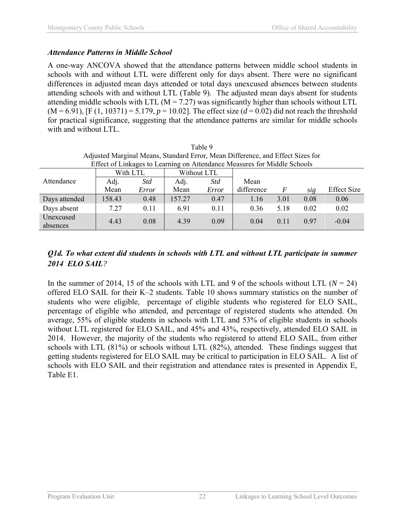## *Attendance Patterns in Middle School*

A one-way ANCOVA showed that the attendance patterns between middle school students in schools with and without LTL were different only for days absent. There were no significant differences in adjusted mean days attended or total days unexcused absences between students attending schools with and without LTL (Table 9). The adjusted mean days absent for students attending middle schools with LTL ( $M = 7.27$ ) was significantly higher than schools without LTL  $(M = 6.91)$ , [F (1, 10371) = 5.179,  $p = 10.02$ ]. The effect size ( $d = 0.02$ ) did not reach the threshold for practical significance, suggesting that the attendance patterns are similar for middle schools with and without LTL.

| Table 9                                                                        |                                                                          |      |        |                 |      |      |      |                    |  |  |  |
|--------------------------------------------------------------------------------|--------------------------------------------------------------------------|------|--------|-----------------|------|------|------|--------------------|--|--|--|
| Adjusted Marginal Means, Standard Error, Mean Difference, and Effect Sizes for |                                                                          |      |        |                 |      |      |      |                    |  |  |  |
|                                                                                | Effect of Linkages to Learning on Attendance Measures for Middle Schools |      |        |                 |      |      |      |                    |  |  |  |
|                                                                                | With LTL<br>Without LTL                                                  |      |        |                 |      |      |      |                    |  |  |  |
| Attendance                                                                     | Adj.                                                                     | Std  | Adj.   | Std             | Mean |      |      |                    |  |  |  |
|                                                                                | Mean<br>Mean<br>Error<br>Error                                           |      |        |                 |      |      |      | <b>Effect Size</b> |  |  |  |
| Days attended                                                                  | 158.43                                                                   | 0.48 | 157.27 | 0.47            | 1.16 | 3.01 | 0.08 | 0.06               |  |  |  |
| Days absent                                                                    | 7.27                                                                     | 0.11 | 6.91   | 0 <sub>11</sub> | 0.36 | 5.18 | 0.02 | 0.02               |  |  |  |
| Unexcused<br>absences                                                          | 4.43                                                                     | 0.08 | 4.39   | 0.09            | 0.04 | 0.11 | 0.97 | $-0.04$            |  |  |  |

## *Q1d. To what extent did students in schools with LTL and without LTL participate in summer 2014 ELO SAIL?*

In the summer of 2014, 15 of the schools with LTL and 9 of the schools without LTL ( $N = 24$ ) offered ELO SAIL for their K–2 students. Table 10 shows summary statistics on the number of students who were eligible, percentage of eligible students who registered for ELO SAIL, percentage of eligible who attended, and percentage of registered students who attended. On average, 55% of eligible students in schools with LTL and 53% of eligible students in schools without LTL registered for ELO SAIL, and 45% and 43%, respectively, attended ELO SAIL in 2014. However, the majority of the students who registered to attend ELO SAIL, from either schools with LTL (81%) or schools without LTL (82%), attended. These findings suggest that getting students registered for ELO SAIL may be critical to participation in ELO SAIL. A list of schools with ELO SAIL and their registration and attendance rates is presented in Appendix E, Table E1.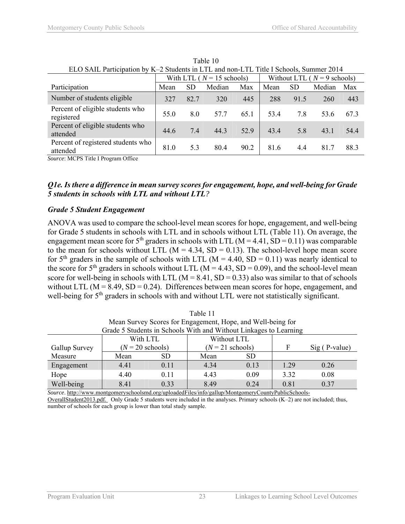| ELO SAIL Participation by K-2 Students in LTL and non-LTL Title I Schools, Summer 2014 |      |           |                              |      |                                |           |        |      |  |  |
|----------------------------------------------------------------------------------------|------|-----------|------------------------------|------|--------------------------------|-----------|--------|------|--|--|
|                                                                                        |      |           | With LTL ( $N = 15$ schools) |      | Without LTL ( $N = 9$ schools) |           |        |      |  |  |
| Participation                                                                          | Mean | <b>SD</b> | Median                       | Max  | Mean                           | <b>SD</b> | Median | Max  |  |  |
| Number of students eligible                                                            | 327  | 82.7      | 320                          | 445  | 288                            | 91.5      | 260    | 443  |  |  |
| Percent of eligible students who<br>registered                                         | 55.0 | 8.0       | 57.7                         | 65.1 | 53.4                           | 7.8       | 53.6   | 673  |  |  |
| Percent of eligible students who<br>attended                                           | 44.6 | 7.4       | 44.3                         | 52.9 | 43.4                           | 5.8       | 43.1   | 54.4 |  |  |
| Percent of registered students who<br>attended                                         | 81.0 | 5.3       | 80.4                         | 90.2 | 81.6                           | 4.4       | 81.7   | 88.3 |  |  |

Table 10 ELO SAIL Participation by K–2 Students in LTL and non-LTL Title I Schools, Summer 2014

*Source*: MCPS Title I Program Office

#### *Q1e. Is there a difference in mean survey scores for engagement, hope, and well-being for Grade 5 students in schools with LTL and without LTL?*

#### *Grade 5 Student Engagement*

ANOVA was used to compare the school-level mean scores for hope, engagement, and well-being for Grade 5 students in schools with LTL and in schools without LTL (Table 11). On average, the engagement mean score for 5<sup>th</sup> graders in schools with LTL ( $M = 4.41$ ,  $SD = 0.11$ ) was comparable to the mean for schools without LTL ( $M = 4.34$ ,  $SD = 0.13$ ). The school-level hope mean score for  $5<sup>th</sup>$  graders in the sample of schools with LTL (M = 4.40, SD = 0.11) was nearly identical to the score for 5<sup>th</sup> graders in schools without LTL ( $M = 4.43$ , SD = 0.09), and the school-level mean score for well-being in schools with LTL ( $M = 8.41$ , SD = 0.33) also was similar to that of schools without LTL ( $M = 8.49$ ,  $SD = 0.24$ ). Differences between mean scores for hope, engagement, and well-being for 5<sup>th</sup> graders in schools with and without LTL were not statistically significant.

| $1$ and $1$                                                       |                    |           |      |               |      |      |  |  |  |  |
|-------------------------------------------------------------------|--------------------|-----------|------|---------------|------|------|--|--|--|--|
| Mean Survey Scores for Engagement, Hope, and Well-being for       |                    |           |      |               |      |      |  |  |  |  |
| Grade 5 Students in Schools With and Without Linkages to Learning |                    |           |      |               |      |      |  |  |  |  |
| With LTL<br>Without LTL                                           |                    |           |      |               |      |      |  |  |  |  |
| Gallup Survey                                                     | $(N = 20$ schools) |           | F    | Sig (P-value) |      |      |  |  |  |  |
| Measure                                                           | Mean               | <b>SD</b> | Mean | <b>SD</b>     |      |      |  |  |  |  |
| Engagement                                                        | 4.41               | 0.11      | 4.34 | 0.13          | 1 29 | 0.26 |  |  |  |  |
| Hope                                                              | 4.40               | 0.11      | 0.09 | 3.32          | 0.08 |      |  |  |  |  |
| Well-being                                                        | 8.41               | 0.33      | 8.49 | 0.24          | 0.81 | 0.37 |  |  |  |  |

Table 11

*Source*. http://www.montgomeryschoolsmd.org/uploadedFiles/info/gallup/MontgomeryCountyPublicSchools-OverallStudent2013.pdf. Only Grade 5 students were included in the analyses. Primary schools (K–2) are not included; thus, number of schools for each group is lower than total study sample.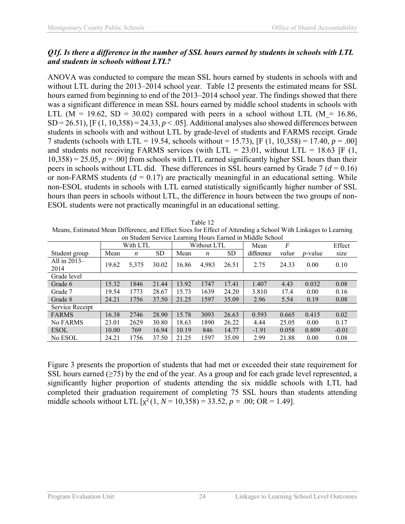#### *Q1f. Is there a difference in the number of SSL hours earned by students in schools with LTL and students in schools without LTL?*

ANOVA was conducted to compare the mean SSL hours earned by students in schools with and without LTL during the 2013–2014 school year. Table 12 presents the estimated means for SSL hours earned from beginning to end of the 2013–2014 school year. The findings showed that there was a significant difference in mean SSL hours earned by middle school students in schools with LTL ( $M = 19.62$ , SD = 30.02) compared with peers in a school without LTL ( $M = 16.86$ ,  $SD = 26.51$ ,  $[F (1, 10, 358) = 24.33, p < .05]$ . Additional analyses also showed differences between students in schools with and without LTL by grade-level of students and FARMS receipt. Grade 7 students (schools with LTL = 19.54, schools without = 15.73), [F (1, 10,358) = 17.40, *p* = .00] and students not receiving FARMS services (with LTL = 23.01, without LTL = 18.63 [F (1,  $10,358$ ) = 25.05,  $p = .00$ ] from schools with LTL earned significantly higher SSL hours than their peers in schools without LTL did. These differences in SSL hours earned by Grade  $7 (d = 0.16)$ or non-FARMS students  $(d = 0.17)$  are practically meaningful in an educational setting. While non-ESOL students in schools with LTL earned statistically significantly higher number of SSL hours than peers in schools without LTL, the difference in hours between the two groups of non-ESOL students were not practically meaningful in an educational setting.

Table 12 Means, Estimated Mean Difference, and Effect Sizes for Effect of Attending a School With Linkages to Learning on Student Service Learning Hours Earned in Middle School

|                        |       | With LTL |       | Without LTL |                  |           | Mean       | F     |                 | Effect  |
|------------------------|-------|----------|-------|-------------|------------------|-----------|------------|-------|-----------------|---------|
| Student group          | Mean  | n        | SD    | Mean        | $\boldsymbol{n}$ | <b>SD</b> | difference | value | <i>p</i> -value | size    |
| All in $2013-$<br>2014 | 19.62 | 5,375    | 30.02 | 16.86       | 4,983            | 26.51     | 2.75       | 24.33 | 0.00            | 0.10    |
| Grade level            |       |          |       |             |                  |           |            |       |                 |         |
| Grade 6                | 15.32 | 1846     | 21.44 | 13.92       | 1747             | 17.41     | 1.407      | 4.43  | 0.032           | 0.08    |
| Grade 7                | 19.54 | 1773     | 28.67 | 15.73       | 1639             | 24.20     | 3.810      | 17.4  | 0.00            | 0.16    |
| Grade 8                | 24.21 | 1756     | 37.50 | 21.25       | 1597             | 35.09     | 2.96       | 5.54  | 0.19            | 0.08    |
| Service Receipt        |       |          |       |             |                  |           |            |       |                 |         |
| <b>FARMS</b>           | 16.38 | 2746     | 28.90 | 15.78       | 3093             | 26.63     | 0.593      | 0.665 | 0.415           | 0.02    |
| <b>No FARMS</b>        | 23.01 | 2629     | 30.80 | 18.63       | 1890             | 26.22     | 4.44       | 25.05 | 0.00            | 0.17    |
| <b>ESOL</b>            | 10.00 | 769      | 16.94 | 10.19       | 846              | 14.77     | $-1.91$    | 0.058 | 0.809           | $-0.01$ |
| No ESOL                | 24.21 | 1756     | 37.50 | 21.25       | 1597             | 35.09     | 2.99       | 21.88 | 0.00            | 0.08    |

Figure 3 presents the proportion of students that had met or exceeded their state requirement for SSL hours earned  $(\geq 75)$  by the end of the year. As a group and for each grade level represented, a significantly higher proportion of students attending the six middle schools with LTL had completed their graduation requirement of completing 75 SSL hours than students attending middle schools without LTL  $[x^2(1, N = 10,358) = 33.52, p = .00; OR = 1.49]$ .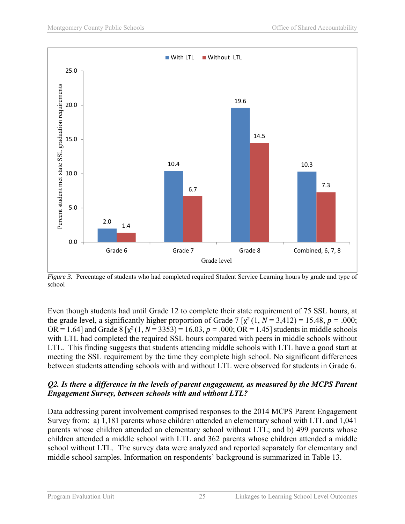

*Figure 3*. Percentage of students who had completed required Student Service Learning hours by grade and type of school

Even though students had until Grade 12 to complete their state requirement of 75 SSL hours, at the grade level, a significantly higher proportion of Grade 7  $[\chi^2(1, N = 3,412) = 15.48, p = .000;$ OR = 1.64] and Grade 8  $[x^2(1, N = 3353) = 16.03, p = .000;$  OR = 1.45] students in middle schools with LTL had completed the required SSL hours compared with peers in middle schools without LTL. This finding suggests that students attending middle schools with LTL have a good start at meeting the SSL requirement by the time they complete high school. No significant differences between students attending schools with and without LTL were observed for students in Grade 6.

#### *Q2. Is there a difference in the levels of parent engagement, as measured by the MCPS Parent Engagement Survey, between schools with and without LTL?*

Data addressing parent involvement comprised responses to the 2014 MCPS Parent Engagement Survey from: a) 1,181 parents whose children attended an elementary school with LTL and 1,041 parents whose children attended an elementary school without LTL; and b) 499 parents whose children attended a middle school with LTL and 362 parents whose children attended a middle school without LTL. The survey data were analyzed and reported separately for elementary and middle school samples. Information on respondents' background is summarized in Table 13.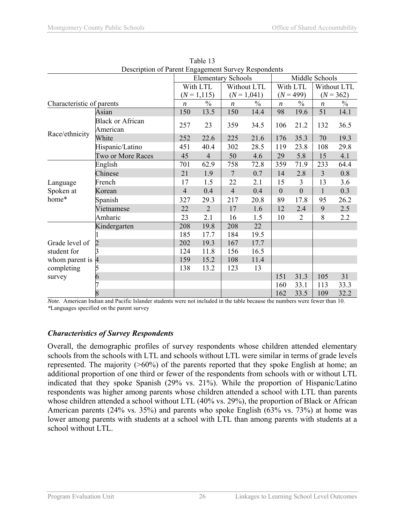| Description of Parent Engagement Survey Respondents |                         |                  |                           |                  |               |                  |                |                  |             |
|-----------------------------------------------------|-------------------------|------------------|---------------------------|------------------|---------------|------------------|----------------|------------------|-------------|
|                                                     |                         |                  | <b>Elementary Schools</b> |                  |               |                  | Middle Schools |                  |             |
|                                                     |                         |                  | With LTL                  | Without LTL      |               | With LTL         |                |                  | Without LTL |
|                                                     |                         | $(N = 1, 115)$   |                           | $(N = 1,041)$    |               | $(N = 499)$      |                | $(N = 362)$      |             |
| Characteristic of parents                           |                         | $\boldsymbol{n}$ | $\frac{0}{0}$             | $\boldsymbol{n}$ | $\frac{0}{0}$ | $\boldsymbol{n}$ | $\frac{0}{0}$  | $\boldsymbol{n}$ | $\%$        |
|                                                     | Asian                   | 150              | 13.5                      | 150              | 14.4          | 98               | 19.6           | 51               | 14.1        |
|                                                     | <b>Black or African</b> | 257              | 23                        | 359              | 34.5          | 106              | 21.2           | 132              | 36.5        |
|                                                     | American                |                  |                           |                  |               |                  |                |                  |             |
| Race/ethnicity                                      | White                   | 252              | 22.6                      | 225              | 21.6          | 176              | 35.3           | 70               | 19.3        |
|                                                     | Hispanic/Latino         | 451              | 40.4                      | 302              | 28.5          | 119              | 23.8           | 108              | 29.8        |
|                                                     | Two or More Races       | 45               | $\overline{4}$            | 50               | 4.6           | 29               | 5.8            | 15               | 4.1         |
|                                                     | English                 | 701              | 62.9                      | 758              | 72.8          | 359              | 71.9           | 233              | 64.4        |
|                                                     | Chinese                 | 21               | 1.9                       | $\overline{7}$   | 0.7           | 14               | 2.8            | $\overline{3}$   | 0.8         |
| Language                                            | French                  | 17               | 1.5                       | 22               | 2.1           | 15               | 3              | 13               | 3.6         |
| Spoken at                                           | Korean                  | $\overline{4}$   | 0.4                       | $\overline{4}$   | 0.4           | $\boldsymbol{0}$ | $\mathbf{0}$   | $\mathbf{1}$     | 0.3         |
| home*                                               | Spanish                 | 327              | 29.3                      | 217              | 20.8          | 89               | 17.8           | 95               | 26.2        |
|                                                     | Vietnamese              | 22               | $\overline{2}$            | 17               | 1.6           | 12               | 2.4            | 9                | 2.5         |
|                                                     | Amharic                 | 23               | 2.1                       | 16               | 1.5           | 10               | $\overline{2}$ | 8                | 2.2         |
|                                                     | Kindergarten            | 208              | 19.8                      | 208              | 22            |                  |                |                  |             |
|                                                     |                         | 185              | 17.7                      | 184              | 19.5          |                  |                |                  |             |
| Grade level of                                      | 2                       | 202              | 19.3                      | 167              | 17.7          |                  |                |                  |             |
| student for                                         |                         | 124              | 11.8                      | 156              | 16.5          |                  |                |                  |             |
| whom parent is $\vert 4 \vert$                      |                         | 159              | 15.2                      | 108              | 11.4          |                  |                |                  |             |
| completing                                          |                         | 138              | 13.2                      | 123              | 13            |                  |                |                  |             |
| survey                                              | h                       |                  |                           |                  |               | 151              | 31.3           | 105              | 31          |
|                                                     |                         |                  |                           |                  |               | 160              | 33.1           | 113              | 33.3        |
|                                                     | 8                       |                  |                           |                  |               | 162              | 33.5           | 109              | 32.2        |

Table 13 Description of Parent Engagement Survey Respondents

*Note.* American Indian and Pacific Islander students were not included in the table because the numbers were fewer than 10. *\**Languages specified on the parent survey

#### *Characteristics of Survey Respondents*

Overall, the demographic profiles of survey respondents whose children attended elementary schools from the schools with LTL and schools without LTL were similar in terms of grade levels represented. The majority (>60%) of the parents reported that they spoke English at home; an additional proportion of one third or fewer of the respondents from schools with or without LTL indicated that they spoke Spanish (29% vs. 21%). While the proportion of Hispanic/Latino respondents was higher among parents whose children attended a school with LTL than parents whose children attended a school without LTL (40% vs. 29%), the proportion of Black or African American parents (24% vs. 35%) and parents who spoke English (63% vs. 73%) at home was lower among parents with students at a school with LTL than among parents with students at a school without LTL.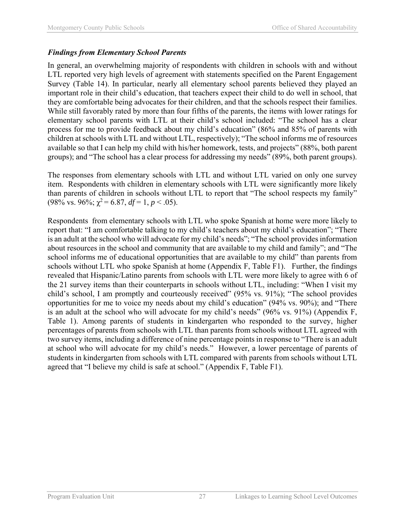## *Findings from Elementary School Parents*

In general, an overwhelming majority of respondents with children in schools with and without LTL reported very high levels of agreement with statements specified on the Parent Engagement Survey (Table 14). In particular, nearly all elementary school parents believed they played an important role in their child's education, that teachers expect their child to do well in school, that they are comfortable being advocates for their children, and that the schools respect their families. While still favorably rated by more than four fifths of the parents, the items with lower ratings for elementary school parents with LTL at their child's school included: "The school has a clear process for me to provide feedback about my child's education" (86% and 85% of parents with children at schools with LTL and without LTL, respectively); "The school informs me of resources available so that I can help my child with his/her homework, tests, and projects" (88%, both parent groups); and "The school has a clear process for addressing my needs" (89%, both parent groups).

The responses from elementary schools with LTL and without LTL varied on only one survey item. Respondents with children in elementary schools with LTL were significantly more likely than parents of children in schools without LTL to report that "The school respects my family" (98% vs. 96%;  $\gamma^2 = 6.87$ ,  $df = 1$ ,  $p < .05$ ).

Respondents from elementary schools with LTL who spoke Spanish at home were more likely to report that: "I am comfortable talking to my child's teachers about my child's education"; "There is an adult at the school who will advocate for my child's needs"; "The school provides information about resources in the school and community that are available to my child and family"; and "The school informs me of educational opportunities that are available to my child" than parents from schools without LTL who spoke Spanish at home (Appendix F, Table F1). Further, the findings revealed that Hispanic/Latino parents from schools with LTL were more likely to agree with 6 of the 21 survey items than their counterparts in schools without LTL, including: "When I visit my child's school, I am promptly and courteously received" (95% vs. 91%); "The school provides opportunities for me to voice my needs about my child's education" (94% vs. 90%); and "There is an adult at the school who will advocate for my child's needs" (96% vs. 91%) (Appendix F, Table 1). Among parents of students in kindergarten who responded to the survey, higher percentages of parents from schools with LTL than parents from schools without LTL agreed with two survey items, including a difference of nine percentage points in response to "There is an adult at school who will advocate for my child's needs." However, a lower percentage of parents of students in kindergarten from schools with LTL compared with parents from schools without LTL agreed that "I believe my child is safe at school." (Appendix F, Table F1).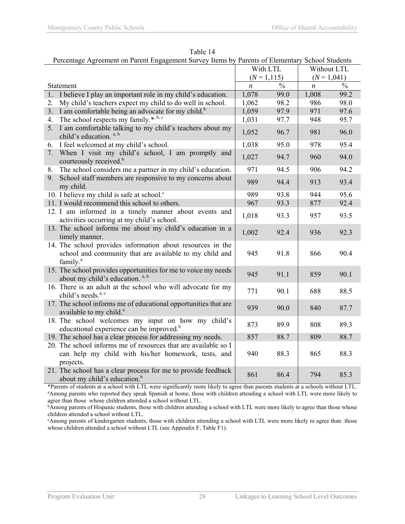|                                          | Percentage Agreement on Parent Engagement Survey Items by Parents of Elementary School Students                       |                  |                |                  |               |  |  |  |
|------------------------------------------|-----------------------------------------------------------------------------------------------------------------------|------------------|----------------|------------------|---------------|--|--|--|
|                                          |                                                                                                                       |                  | With LTL       | Without LTL      |               |  |  |  |
|                                          |                                                                                                                       |                  | $(N = 1, 115)$ | $(N = 1,041)$    |               |  |  |  |
| Statement                                |                                                                                                                       | $\boldsymbol{n}$ | $\frac{0}{0}$  | $\boldsymbol{n}$ | $\frac{0}{0}$ |  |  |  |
| 1.                                       | I believe I play an important role in my child's education.                                                           | 1,078            | 99.0           | 1,008            | 99.2          |  |  |  |
| 2.                                       | My child's teachers expect my child to do well in school.                                                             | 1,062            | 98.2           | 986              | 98.0          |  |  |  |
| 3.                                       | I am comfortable being an advocate for my child. <sup>b</sup>                                                         | 1,059            | 97.9           | 971              | 97.6          |  |  |  |
| 4.                                       | The school respects my family. <sup>*, b, c</sup>                                                                     | 1,031            | 97.7           | 948              | 95.7          |  |  |  |
| 5.<br>child's education. <sup>a, b</sup> | I am comfortable talking to my child's teachers about my                                                              | 1,052            | 96.7           | 981              | 96.0          |  |  |  |
| 6.                                       | I feel welcomed at my child's school.                                                                                 | 1,038            | 95.0           | 978              | 95.4          |  |  |  |
| 7.<br>courteously received. <sup>b</sup> | When I visit my child's school, I am promptly and                                                                     | 1,027            | 94.7           | 960              | 94.0          |  |  |  |
| 8.                                       | The school considers me a partner in my child's education.                                                            | 971              | 94.5           | 906              | 94.2          |  |  |  |
| 9.<br>my child.                          | School staff members are responsive to my concerns about                                                              | 989              | 94.4           | 913              | 93.4          |  |  |  |
|                                          | 10. I believe my child is safe at school. <sup>c</sup>                                                                | 989              | 93.8           | 944              | 95.6          |  |  |  |
|                                          | 11. I would recommend this school to others.                                                                          | 967              | 93.3           | 877              | 92.4          |  |  |  |
|                                          | 12. I am informed in a timely manner about events and<br>activities occurring at my child's school.                   | 1,018            | 93.3           | 957              | 93.5          |  |  |  |
| timely manner.                           | 13. The school informs me about my child's education in a                                                             | 1,002            | 92.4           | 936              | 92.3          |  |  |  |
| family. <sup>a</sup>                     | 14. The school provides information about resources in the<br>school and community that are available to my child and | 945              | 91.8           | 866              | 90.4          |  |  |  |
|                                          | 15. The school provides opportunities for me to voice my needs<br>about my child's education. <sup>a, b</sup>         | 945              | 91.1           | 859              | 90.1          |  |  |  |
| child's needs. <sup>a, c</sup>           | 16. There is an adult at the school who will advocate for my                                                          | 771              | 90.1           | 688              | 88.5          |  |  |  |
| available to my child. <sup>a</sup>      | 17. The school informs me of educational opportunities that are                                                       | 939              | 90.0           | 840              | 87.7          |  |  |  |
|                                          | 18. The school welcomes my input on how my child's<br>educational experience can be improved. <sup>b</sup>            | 873              | 89.9           | 808              | 89.3          |  |  |  |
|                                          | 19. The school has a clear process for addressing my needs.                                                           | 857              | 88.7           | 809              | 88.7          |  |  |  |
| projects.                                | 20. The school informs me of resources that are available so I<br>can help my child with his/her homework, tests, and | 940              | 88.3           | 865              | 88.3          |  |  |  |
|                                          | 21. The school has a clear process for me to provide feedback<br>about my child's education. <sup>b</sup>             | 861              | 86.4           | 794              | 85.3          |  |  |  |

Table 14

\*Parents of students at a school with LTL were significantly more likely to agree than parents students at a schools without LTL. a <sup>a</sup> Among parents who reported they speak Spanish at home, those with children attending a school with LTL were more likely to agree than those whose children attended a school without LTL.

**bAmong parents of Hispanic students, those with children attending a school with LTL were more likely to agree than those whose** children attended a school without LTL.

c Among parents of kindergarten students, those with children attending a school with LTL were more likely to agree than those whose children attended a school without LTL (see Appendix F, Table F1).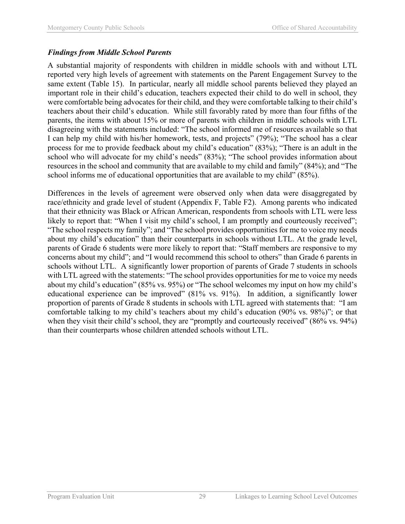#### *Findings from Middle School Parents*

A substantial majority of respondents with children in middle schools with and without LTL reported very high levels of agreement with statements on the Parent Engagement Survey to the same extent (Table 15). In particular, nearly all middle school parents believed they played an important role in their child's education, teachers expected their child to do well in school, they were comfortable being advocates for their child, and they were comfortable talking to their child's teachers about their child's education. While still favorably rated by more than four fifths of the parents, the items with about 15% or more of parents with children in middle schools with LTL disagreeing with the statements included: "The school informed me of resources available so that I can help my child with his/her homework, tests, and projects" (79%); "The school has a clear process for me to provide feedback about my child's education" (83%); "There is an adult in the school who will advocate for my child's needs" (83%); "The school provides information about resources in the school and community that are available to my child and family" (84%); and "The school informs me of educational opportunities that are available to my child" (85%).

Differences in the levels of agreement were observed only when data were disaggregated by race/ethnicity and grade level of student (Appendix F, Table F2). Among parents who indicated that their ethnicity was Black or African American, respondents from schools with LTL were less likely to report that: "When I visit my child's school, I am promptly and courteously received"; "The school respects my family"; and "The school provides opportunities for me to voice my needs about my child's education" than their counterparts in schools without LTL. At the grade level, parents of Grade 6 students were more likely to report that: "Staff members are responsive to my concerns about my child"; and "I would recommend this school to others" than Grade 6 parents in schools without LTL. A significantly lower proportion of parents of Grade 7 students in schools with LTL agreed with the statements: "The school provides opportunities for me to voice my needs about my child's education" (85% vs. 95%) or "The school welcomes my input on how my child's educational experience can be improved" (81% vs. 91%). In addition, a significantly lower proportion of parents of Grade 8 students in schools with LTL agreed with statements that: "I am comfortable talking to my child's teachers about my child's education (90% vs. 98%)"; or that when they visit their child's school, they are "promptly and courteously received" (86% vs. 94%) than their counterparts whose children attended schools without LTL.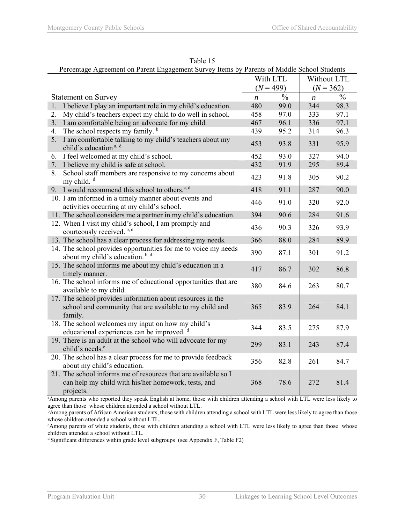| Percentage Agreement on Parent Engagement Survey Items by Parents of Middle School Students                                        |                  |               |                  |               |  |
|------------------------------------------------------------------------------------------------------------------------------------|------------------|---------------|------------------|---------------|--|
|                                                                                                                                    |                  | With LTL      |                  | Without LTL   |  |
|                                                                                                                                    |                  | $(N = 499)$   |                  | $(N = 362)$   |  |
| <b>Statement on Survey</b>                                                                                                         | $\boldsymbol{n}$ | $\frac{0}{0}$ | $\boldsymbol{n}$ | $\frac{0}{0}$ |  |
| 1.<br>I believe I play an important role in my child's education.                                                                  | 480              | 99.0          | 344              | 98.3          |  |
| My child's teachers expect my child to do well in school.<br>2.                                                                    | 458              | 97.0          | 333              | 97.1          |  |
| 3.<br>I am comfortable being an advocate for my child.                                                                             | 467              | 96.1          | 336              | 97.1          |  |
| The school respects my family. <sup>b</sup><br>4.                                                                                  | 439              | 95.2          | 314              | 96.3          |  |
| I am comfortable talking to my child's teachers about my<br>5.<br>child's education <sup>a, d</sup>                                | 453              | 93.8          | 331              | 95.9          |  |
| I feel welcomed at my child's school.<br>6.                                                                                        | 452              | 93.0          | 327              | 94.0          |  |
| I believe my child is safe at school.<br>7.                                                                                        | 432              | 91.9          | 295              | 89.4          |  |
| School staff members are responsive to my concerns about<br>8.<br>my child. <sup>d</sup>                                           | 423              | 91.8          | 305              | 90.2          |  |
| 9. I would recommend this school to others. <sup>c, d</sup>                                                                        | 418              | 91.1          | 287              | 90.0          |  |
| 10. I am informed in a timely manner about events and<br>activities occurring at my child's school.                                | 446              | 91.0          | 320              | 92.0          |  |
| 11. The school considers me a partner in my child's education.                                                                     | 394              | 90.6          | 284              | 91.6          |  |
| 12. When I visit my child's school, I am promptly and<br>courteously received. <sup>b, d</sup>                                     | 436              | 90.3          | 326              | 93.9          |  |
| 13. The school has a clear process for addressing my needs.                                                                        | 366              | 88.0          | 284              | 89.9          |  |
| 14. The school provides opportunities for me to voice my needs<br>about my child's education. <sup>b, d</sup>                      | 390              | 87.1          | 301              | 91.2          |  |
| 15. The school informs me about my child's education in a<br>timely manner.                                                        | 417              | 86.7          | 302              | 86.8          |  |
| 16. The school informs me of educational opportunities that are<br>available to my child.                                          | 380              | 84.6          | 263              | 80.7          |  |
| 17. The school provides information about resources in the<br>school and community that are available to my child and<br>family.   | 365              | 83.9          | 264              | 84.1          |  |
| 18. The school welcomes my input on how my child's<br>educational experiences can be improved. d                                   | 344              | 83.5          | 275              | 87.9          |  |
| 19. There is an adult at the school who will advocate for my<br>child's needs. <sup>c</sup>                                        | 299              | 83.1          | 243              | 87.4          |  |
| 20. The school has a clear process for me to provide feedback<br>about my child's education.                                       | 356              | 82.8          | 261              | 84.7          |  |
| 21. The school informs me of resources that are available so I<br>can help my child with his/her homework, tests, and<br>projects. | 368              | 78.6          | 272              | 81.4          |  |

Table 15

a Among parents who reported they speak English at home, those with children attending a school with LTL were less likely to

agree than those whose children attended a school without LTL.<br><sup>b</sup>Among parents of African American students, those with children attending a school with LTL were less likely to agree than those whose children attended a school without LTL.

<sup>c</sup>Among parents of white students, those with children attending a school with LTL were less likely to agree than those whose children attended a school without LTL.

d Significant differences within grade level subgroups (see Appendix F, Table F2)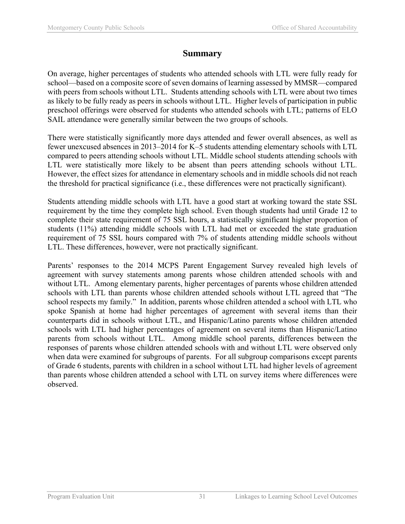## **Summary**

On average, higher percentages of students who attended schools with LTL were fully ready for school—based on a composite score of seven domains of learning assessed by MMSR—compared with peers from schools without LTL. Students attending schools with LTL were about two times as likely to be fully ready as peers in schools without LTL. Higher levels of participation in public preschool offerings were observed for students who attended schools with LTL; patterns of ELO SAIL attendance were generally similar between the two groups of schools.

There were statistically significantly more days attended and fewer overall absences, as well as fewer unexcused absences in 2013–2014 for K–5 students attending elementary schools with LTL compared to peers attending schools without LTL. Middle school students attending schools with LTL were statistically more likely to be absent than peers attending schools without LTL. However, the effect sizes for attendance in elementary schools and in middle schools did not reach the threshold for practical significance (i.e., these differences were not practically significant).

Students attending middle schools with LTL have a good start at working toward the state SSL requirement by the time they complete high school. Even though students had until Grade 12 to complete their state requirement of 75 SSL hours, a statistically significant higher proportion of students (11%) attending middle schools with LTL had met or exceeded the state graduation requirement of 75 SSL hours compared with 7% of students attending middle schools without LTL. These differences, however, were not practically significant.

Parents' responses to the 2014 MCPS Parent Engagement Survey revealed high levels of agreement with survey statements among parents whose children attended schools with and without LTL. Among elementary parents, higher percentages of parents whose children attended schools with LTL than parents whose children attended schools without LTL agreed that "The school respects my family." In addition, parents whose children attended a school with LTL who spoke Spanish at home had higher percentages of agreement with several items than their counterparts did in schools without LTL, and Hispanic/Latino parents whose children attended schools with LTL had higher percentages of agreement on several items than Hispanic/Latino parents from schools without LTL. Among middle school parents, differences between the responses of parents whose children attended schools with and without LTL were observed only when data were examined for subgroups of parents. For all subgroup comparisons except parents of Grade 6 students, parents with children in a school without LTL had higher levels of agreement than parents whose children attended a school with LTL on survey items where differences were observed.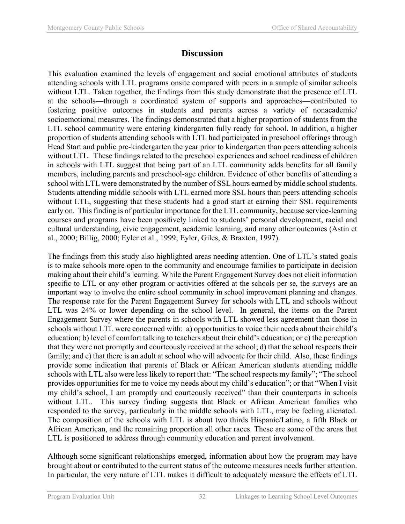## **Discussion**

This evaluation examined the levels of engagement and social emotional attributes of students attending schools with LTL programs onsite compared with peers in a sample of similar schools without LTL. Taken together, the findings from this study demonstrate that the presence of LTL at the schools—through a coordinated system of supports and approaches—contributed to fostering positive outcomes in students and parents across a variety of nonacademic/ socioemotional measures. The findings demonstrated that a higher proportion of students from the LTL school community were entering kindergarten fully ready for school. In addition, a higher proportion of students attending schools with LTL had participated in preschool offerings through Head Start and public pre-kindergarten the year prior to kindergarten than peers attending schools without LTL. These findings related to the preschool experiences and school readiness of children in schools with LTL suggest that being part of an LTL community adds benefits for all family members, including parents and preschool-age children. Evidence of other benefits of attending a school with LTL were demonstrated by the number of SSL hours earned by middle school students. Students attending middle schools with LTL earned more SSL hours than peers attending schools without LTL, suggesting that these students had a good start at earning their SSL requirements early on. This finding is of particular importance for the LTL community, because service-learning courses and programs have been positively linked to students' personal development, racial and cultural understanding, civic engagement, academic learning, and many other outcomes (Astin et al., 2000; Billig, 2000; Eyler et al., 1999; Eyler, Giles, & Braxton, 1997).

The findings from this study also highlighted areas needing attention. One of LTL's stated goals is to make schools more open to the community and encourage families to participate in decision making about their child's learning. While the Parent Engagement Survey does not elicit information specific to LTL or any other program or activities offered at the schools per se, the surveys are an important way to involve the entire school community in school improvement planning and changes. The response rate for the Parent Engagement Survey for schools with LTL and schools without LTL was 24% or lower depending on the school level. In general, the items on the Parent Engagement Survey where the parents in schools with LTL showed less agreement than those in schools without LTL were concerned with: a) opportunities to voice their needs about their child's education; b) level of comfort talking to teachers about their child's education; or c) the perception that they were not promptly and courteously received at the school; d) that the school respects their family; and e) that there is an adult at school who will advocate for their child. Also, these findings provide some indication that parents of Black or African American students attending middle schools with LTL also were less likely to report that: "The school respects my family"; "The school provides opportunities for me to voice my needs about my child's education"; or that "When I visit my child's school, I am promptly and courteously received" than their counterparts in schools without LTL. This survey finding suggests that Black or African American families who responded to the survey, particularly in the middle schools with LTL, may be feeling alienated. The composition of the schools with LTL is about two thirds Hispanic/Latino, a fifth Black or African American, and the remaining proportion all other races. These are some of the areas that LTL is positioned to address through community education and parent involvement.

Although some significant relationships emerged, information about how the program may have brought about or contributed to the current status of the outcome measures needs further attention. In particular, the very nature of LTL makes it difficult to adequately measure the effects of LTL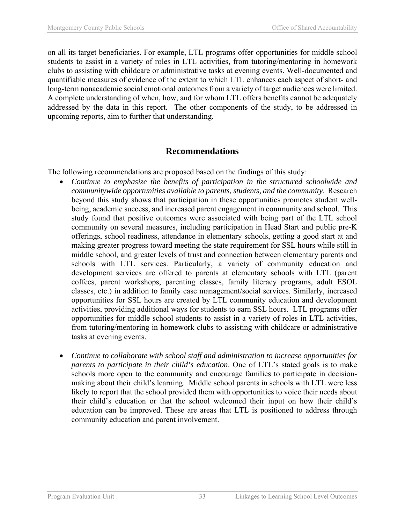on all its target beneficiaries. For example, LTL programs offer opportunities for middle school students to assist in a variety of roles in LTL activities, from tutoring/mentoring in homework clubs to assisting with childcare or administrative tasks at evening events. Well-documented and quantifiable measures of evidence of the extent to which LTL enhances each aspect of short- and long-term nonacademic social emotional outcomes from a variety of target audiences were limited. A complete understanding of when, how, and for whom LTL offers benefits cannot be adequately addressed by the data in this report. The other components of the study, to be addressed in upcoming reports, aim to further that understanding.

## **Recommendations**

The following recommendations are proposed based on the findings of this study:

- *Continue to emphasize the benefits of participation in the structured schoolwide and communitywide opportunities available to parents, students, and the community*. Research beyond this study shows that participation in these opportunities promotes student wellbeing, academic success, and increased parent engagement in community and school. This study found that positive outcomes were associated with being part of the LTL school community on several measures, including participation in Head Start and public pre-K offerings, school readiness, attendance in elementary schools, getting a good start at and making greater progress toward meeting the state requirement for SSL hours while still in middle school, and greater levels of trust and connection between elementary parents and schools with LTL services. Particularly, a variety of community education and development services are offered to parents at elementary schools with LTL (parent coffees, parent workshops, parenting classes, family literacy programs, adult ESOL classes, etc.) in addition to family case management/social services. Similarly, increased opportunities for SSL hours are created by LTL community education and development activities, providing additional ways for students to earn SSL hours. LTL programs offer opportunities for middle school students to assist in a variety of roles in LTL activities, from tutoring/mentoring in homework clubs to assisting with childcare or administrative tasks at evening events.
- *Continue to collaborate with school staff and administration to increase opportunities for parents to participate in their child's education*. One of LTL's stated goals is to make schools more open to the community and encourage families to participate in decisionmaking about their child's learning. Middle school parents in schools with LTL were less likely to report that the school provided them with opportunities to voice their needs about their child's education or that the school welcomed their input on how their child's education can be improved. These are areas that LTL is positioned to address through community education and parent involvement.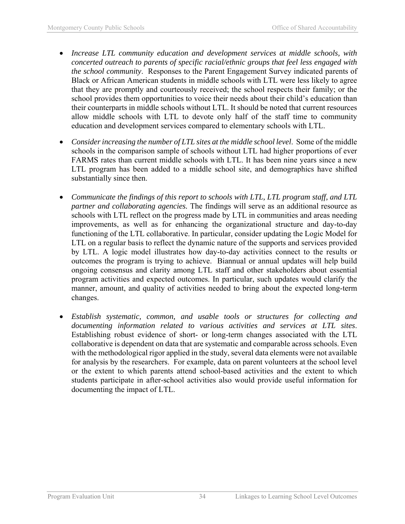- *Increase LTL community education and development services at middle schools, with concerted outreach to parents of specific racial/ethnic groups that feel less engaged with the school community*. Responses to the Parent Engagement Survey indicated parents of Black or African American students in middle schools with LTL were less likely to agree that they are promptly and courteously received; the school respects their family; or the school provides them opportunities to voice their needs about their child's education than their counterparts in middle schools without LTL. It should be noted that current resources allow middle schools with LTL to devote only half of the staff time to community education and development services compared to elementary schools with LTL.
- *Consider increasing the number of LTL sites at the middle school level*. Some of the middle schools in the comparison sample of schools without LTL had higher proportions of ever FARMS rates than current middle schools with LTL. It has been nine years since a new LTL program has been added to a middle school site, and demographics have shifted substantially since then.
- *Communicate the findings of this report to schools with LTL, LTL program staff, and LTL partner and collaborating agencies.* The findings will serve as an additional resource as schools with LTL reflect on the progress made by LTL in communities and areas needing improvements, as well as for enhancing the organizational structure and day-to-day functioning of the LTL collaborative. In particular, consider updating the Logic Model for LTL on a regular basis to reflect the dynamic nature of the supports and services provided by LTL. A logic model illustrates how day-to-day activities connect to the results or outcomes the program is trying to achieve. Biannual or annual updates will help build ongoing consensus and clarity among LTL staff and other stakeholders about essential program activities and expected outcomes. In particular, such updates would clarify the manner, amount, and quality of activities needed to bring about the expected long-term changes.
- *Establish systematic, common, and usable tools or structures for collecting and documenting information related to various activities and services at LTL sites*. Establishing robust evidence of short- or long-term changes associated with the LTL collaborative is dependent on data that are systematic and comparable across schools. Even with the methodological rigor applied in the study, several data elements were not available for analysis by the researchers. For example, data on parent volunteers at the school level or the extent to which parents attend school-based activities and the extent to which students participate in after-school activities also would provide useful information for documenting the impact of LTL.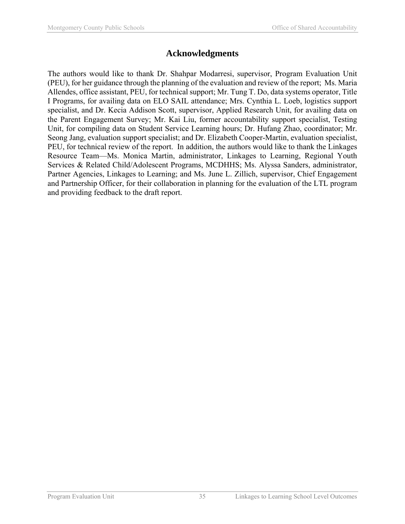## **Acknowledgments**

The authors would like to thank Dr. Shahpar Modarresi, supervisor, Program Evaluation Unit (PEU), for her guidance through the planning of the evaluation and review of the report; Ms. Maria Allendes, office assistant, PEU, for technical support; Mr. Tung T. Do, data systems operator, Title I Programs, for availing data on ELO SAIL attendance; Mrs. Cynthia L. Loeb, logistics support specialist, and Dr. Kecia Addison Scott, supervisor, Applied Research Unit, for availing data on the Parent Engagement Survey; Mr. Kai Liu, former accountability support specialist, Testing Unit, for compiling data on Student Service Learning hours; Dr. Hufang Zhao, coordinator; Mr. Seong Jang, evaluation support specialist; and Dr. Elizabeth Cooper-Martin, evaluation specialist, PEU, for technical review of the report. In addition, the authors would like to thank the Linkages Resource Team—Ms. Monica Martin, administrator, Linkages to Learning, Regional Youth Services & Related Child/Adolescent Programs, MCDHHS; Ms. Alyssa Sanders, administrator, Partner Agencies, Linkages to Learning; and Ms. June L. Zillich, supervisor, Chief Engagement and Partnership Officer, for their collaboration in planning for the evaluation of the LTL program and providing feedback to the draft report.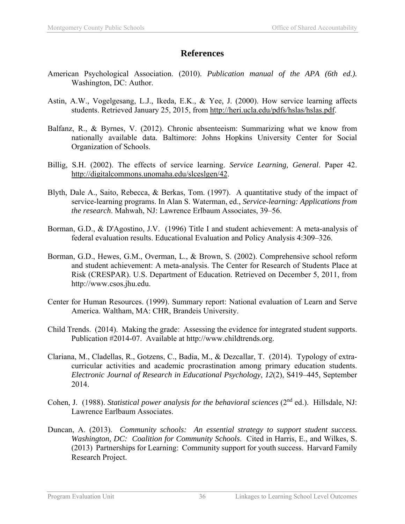## **References**

- American Psychological Association. (2010). *Publication manual of the APA (6th ed.).* Washington, DC: Author.
- Astin, A.W., Vogelgesang, L.J., Ikeda, E.K., & Yee, J. (2000). How service learning affects students. Retrieved January 25, 2015, from http://heri.ucla.edu/pdfs/hslas/hslas.pdf.
- Balfanz, R., & Byrnes, V. (2012). Chronic absenteeism: Summarizing what we know from nationally available data. Baltimore: Johns Hopkins University Center for Social Organization of Schools.
- Billig, S.H. (2002). The effects of service learning. *Service Learning, General*. Paper 42. http://digitalcommons.unomaha.edu/slceslgen/42.
- Blyth, Dale A., Saito, Rebecca, & Berkas, Tom. (1997). A quantitative study of the impact of service-learning programs. In Alan S. Waterman, ed., *Service-learning: Applications from the research*. Mahwah, NJ: Lawrence Erlbaum Associates, 39–56.
- Borman, G.D., & D'Agostino, J.V. (1996) Title I and student achievement: A meta-analysis of federal evaluation results. Educational Evaluation and Policy Analysis 4:309–326.
- Borman, G.D., Hewes, G.M., Overman, L., & Brown, S. (2002). Comprehensive school reform and student achievement: A meta-analysis. The Center for Research of Students Place at Risk (CRESPAR). U.S. Department of Education. Retrieved on December 5, 2011, from http://www.csos.jhu.edu.
- Center for Human Resources. (1999). Summary report: National evaluation of Learn and Serve America. Waltham, MA: CHR, Brandeis University.
- Child Trends. (2014). Making the grade: Assessing the evidence for integrated student supports. Publication #2014-07. Available at http://www.childtrends.org.
- Clariana, M., Cladellas, R., Gotzens, C., Badia, M., & Dezcallar, T. (2014). Typology of extracurricular activities and academic procrastination among primary education students. *Electronic Journal of Research in Educational Psychology*, *12*(2), S419–445, September 2014.
- Cohen, J. (1988). *Statistical power analysis for the behavioral sciences* (2<sup>nd</sup> ed.). Hillsdale, NJ: Lawrence Earlbaum Associates.
- Duncan, A. (2013). *Community schools: An essential strategy to support student success. Washington, DC: Coalition for Community Schools*. Cited in Harris, E., and Wilkes, S. (2013) Partnerships for Learning: Community support for youth success. Harvard Family Research Project.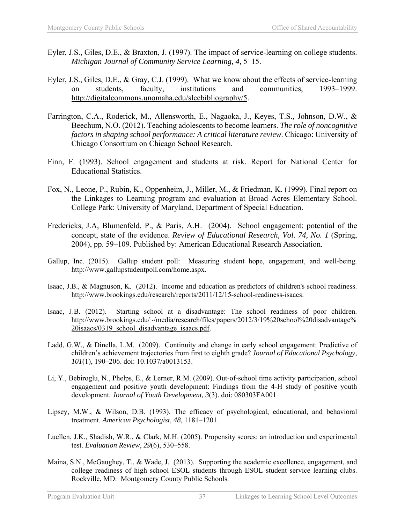- Eyler, J.S., Giles, D.E., & Braxton, J. (1997). The impact of service-learning on college students. *Michigan Journal of Community Service Learning, 4,* 5–15.
- Eyler, J.S., Giles, D.E., & Gray, C.J. (1999). What we know about the effects of service-learning on students, faculty, institutions and communities, 1993–1999. http://digitalcommons.unomaha.edu/slcebibliography/5.
- Farrington, C.A., Roderick, M., Allensworth, E., Nagaoka, J., Keyes, T.S., Johnson, D.W., & Beechum, N.O. (2012). Teaching adolescents to become learners. *The role of noncognitive factors in shaping school performance: A critical literature review*. Chicago: University of Chicago Consortium on Chicago School Research.
- Finn, F. (1993). School engagement and students at risk. Report for National Center for Educational Statistics.
- Fox, N., Leone, P., Rubin, K., Oppenheim, J., Miller, M., & Friedman, K. (1999). Final report on the Linkages to Learning program and evaluation at Broad Acres Elementary School. College Park: University of Maryland, Department of Special Education.
- Fredericks, J.A, Blumenfeld, P., & Paris, A.H. (2004). School engagement: potential of the concept, state of the evidence. *Review of Educational Research, Vol. 74, No. 1* (Spring, 2004), pp. 59–109. Published by: American Educational Research Association.
- Gallup, Inc. (2015). Gallup student poll: Measuring student hope, engagement, and well-being*.*  http://www.gallupstudentpoll.com/home.aspx.
- Isaac, J.B., & Magnuson, K. (2012). Income and education as predictors of children's school readiness. http://www.brookings.edu/research/reports/2011/12/15-school-readiness-isaacs.
- Isaac, J.B. (2012). Starting school at a disadvantage: The school readiness of poor children. http://www.brookings.edu/~/media/research/files/papers/2012/3/19%20school%20disadvantage% 20isaacs/0319 school disadvantage isaacs.pdf.
- Ladd, G.W., & Dinella, L.M. (2009). Continuity and change in early school engagement: Predictive of children's achievement trajectories from first to eighth grade? *Journal of Educational Psychology, 101*(1), 190–206. doi: 10.1037/a0013153.
- Li, Y., Bebiroglu, N., Phelps, E., & Lerner, R.M. (2009). Out-of-school time activity participation, school engagement and positive youth development: Findings from the 4-H study of positive youth development. *Journal of Youth Development, 3*(3). doi: 080303FA001
- Lipsey, M.W., & Wilson, D.B. (1993). The efficacy of psychological, educational, and behavioral treatment. *American Psychologist, 48,* 1181–1201.
- Luellen, J.K., Shadish, W.R., & Clark, M.H. (2005). Propensity scores: an introduction and experimental test. *Evaluation Review*, *29*(6), 530–558.
- Maina, S.N., McGaughey, T., & Wade, J. (2013). Supporting the academic excellence, engagement, and college readiness of high school ESOL students through ESOL student service learning clubs. Rockville, MD: Montgomery County Public Schools.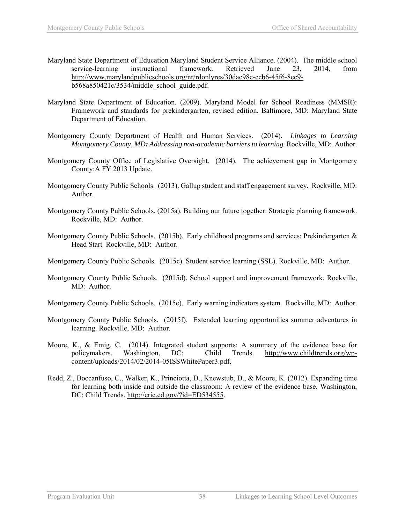- Maryland State Department of Education Maryland Student Service Alliance. (2004). The middle school service-learning instructional framework*.* Retrieved June 23, 2014, from http://www.marylandpublicschools.org/nr/rdonlyres/30dac98c-ccb6-45f6-8ec9 b568a850421c/3534/middle\_school\_guide.pdf.
- Maryland State Department of Education. (2009). Maryland Model for School Readiness (MMSR): Framework and standards for prekindergarten, revised edition. Baltimore, MD: Maryland State Department of Education.
- Montgomery County Department of Health and Human Services. (2014). *Linkages to Learning Montgomery County, MD: Addressing non-academic barriers to learning.* Rockville, MD: Author.
- Montgomery County Office of Legislative Oversight. (2014). The achievement gap in Montgomery County:A FY 2013 Update.
- Montgomery County Public Schools. (2013). Gallup student and staff engagement survey*.* Rockville, MD: Author.
- Montgomery County Public Schools. (2015a). Building our future together: Strategic planning framework. Rockville, MD: Author.
- Montgomery County Public Schools. (2015b). Early childhood programs and services: Prekindergarten & Head Start*.* Rockville, MD: Author.
- Montgomery County Public Schools. (2015c). Student service learning (SSL). Rockville, MD: Author.
- Montgomery County Public Schools. (2015d). School support and improvement framework. Rockville, MD: Author.
- Montgomery County Public Schools. (2015e). Early warning indicators system*.* Rockville, MD: Author.
- Montgomery County Public Schools. (2015f). Extended learning opportunities summer adventures in learning. Rockville, MD: Author.
- Moore, K., & Emig, C. (2014). Integrated student supports: A summary of the evidence base for policymakers. Washington, DC: Child Trends. http://www.childtrends.org/wpcontent/uploads/2014/02/2014-05ISSWhitePaper3.pdf.
- Redd, Z., Boccanfuso, C., Walker, K., Princiotta, D., Knewstub, D., & Moore, K. (2012). Expanding time for learning both inside and outside the classroom: A review of the evidence base. Washington, DC: Child Trends. http://eric.ed.gov/?id=ED534555.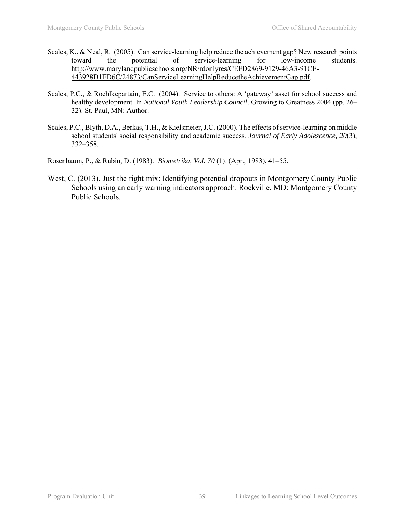- Scales, K., & Neal, R. (2005). Can service-learning help reduce the achievement gap? New research points toward the potential of service-learning for low-income students. http://www.marylandpublicschools.org/NR/rdonlyres/CEFD2869-9129-46A3-91CE-443928D1ED6C/24873/CanServiceLearningHelpReducetheAchievementGap.pdf.
- Scales, P.C., & Roehlkepartain, E.C. (2004). Service to others: A 'gateway' asset for school success and healthy development. In *National Youth Leadership Council*. Growing to Greatness 2004 (pp. 26– 32). St. Paul, MN: Author.
- Scales, P.C., Blyth, D.A., Berkas, T.H., & Kielsmeier, J.C. (2000). The effects of service-learning on middle school students' social responsibility and academic success. *Journal of Early Adolescence, 20*(3), 332–358.
- Rosenbaum, P., & Rubin, D. (1983). *Biometrika, Vol. 70* (1). (Apr., 1983), 41–55.
- West, C. (2013). Just the right mix: Identifying potential dropouts in Montgomery County Public Schools using an early warning indicators approach. Rockville, MD: Montgomery County Public Schools.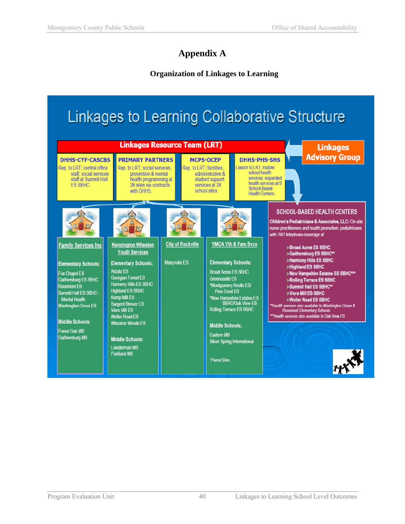# **Appendix A**

## **Organization of Linkages to Learning**

# **Linkages to Learning Collaborative Structure**

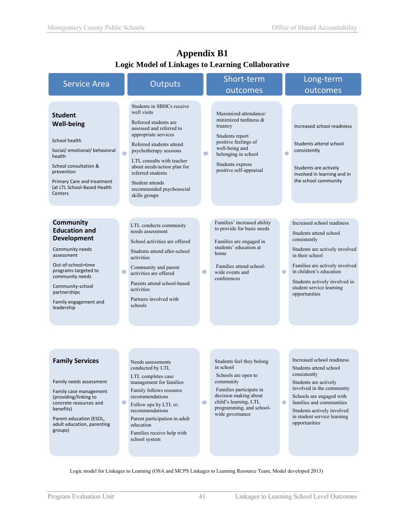| <b>Service Area</b>                                                                                                                                                                                                                         |               | Outputs                                                                                                                                                                                                                                                                                                                      |                | Short-term                                                                                                                                                                                             |               | Long-term                                                                                                                                                                                                                                                            |
|---------------------------------------------------------------------------------------------------------------------------------------------------------------------------------------------------------------------------------------------|---------------|------------------------------------------------------------------------------------------------------------------------------------------------------------------------------------------------------------------------------------------------------------------------------------------------------------------------------|----------------|--------------------------------------------------------------------------------------------------------------------------------------------------------------------------------------------------------|---------------|----------------------------------------------------------------------------------------------------------------------------------------------------------------------------------------------------------------------------------------------------------------------|
|                                                                                                                                                                                                                                             |               |                                                                                                                                                                                                                                                                                                                              |                | outcomes                                                                                                                                                                                               |               | outcomes                                                                                                                                                                                                                                                             |
| <b>Student</b><br><b>Well-being</b><br>School health<br>Social/ emotional/ behavioral<br>health<br>School consultation &<br>prevention<br>Primary Care and treatment<br>(at LTL School-Based Health<br>Centers                              | $\Rightarrow$ | Students in SBHCs receive<br>well visits<br>Referred students are<br>assessed and referred to<br>appropriate services<br>Referred students attend<br>psychotherapy sessions<br>LTL consults with teacher<br>about needs/action plan for<br>referred students<br>Student attends<br>recommended psychosocial<br>skills groups | $\blacksquare$ | Maximized attendance/<br>minimized tardiness $\&$<br>truancy<br>Students report<br>positive feelings of<br>well-being and<br>belonging in school<br>Students express<br>positive self-appraisal        | D             | Increased school readniess<br>Students attend school<br>consistently<br>Students are actively<br>involved in learning and in<br>the school community                                                                                                                 |
| <b>Community</b><br><b>Education and</b><br><b>Development</b><br>Community needs<br>assessment<br>Out-of-school=time<br>programs targeted to<br>community needs<br>Community-school<br>partnerships<br>Family engagement and<br>leadership | D             | LTL conducts community<br>needs assessment<br>School activities are offered<br>Students attend after-school<br>activities<br>Community and parent<br>activities are offered<br>Parents attend school-based<br>activities<br>Partners involved with<br>schools                                                                | ▶              | Families' increased ability<br>to provide for basic needs<br>Families are engaged in<br>students' education at<br>home<br>Families attend school-<br>wide events and<br>conferences                    | ₿             | Increased school readiness<br>Students attend school<br>consistently<br>Students are actively involved<br>in their school<br>Families are actively involved<br>in children's education<br>Students actively involved in<br>student service learning<br>opportunities |
| <b>Family Services</b><br>Family needs assessment<br>Family case management<br>(providing/linking to<br>concrete resources and<br>benefits)<br>Parent education (ESOL,<br>adult education, parenting<br>groups)                             | ₽             | Needs assessments<br>conducted by LTL<br>LTL completes case<br>management for families<br>Family follows resource<br>recommendations<br>Follow ups by LTL re:<br>recommendations<br>Parent participation in adult<br>education<br>Families receive help with<br>school system                                                | ▶              | Students feel they belong<br>in school<br>Schools are open to<br>community<br>Families participate in<br>decision making about<br>child's learning, LTL<br>programming, and school-<br>wide governance | $\Rightarrow$ | Increased school readiness<br>Students attend school<br>consistently<br>Students are actively<br>involved in the community<br>Schools are engaged with<br>families and communities<br>Students actively involved<br>in student service learning<br>opportunities     |

## **Appendix B1 Logic Model of Linkages to Learning Collaborative**

Logic model for Linkages to Learning (OSA and MCPS Linkages to Learning Resource Team, Model developed 2013)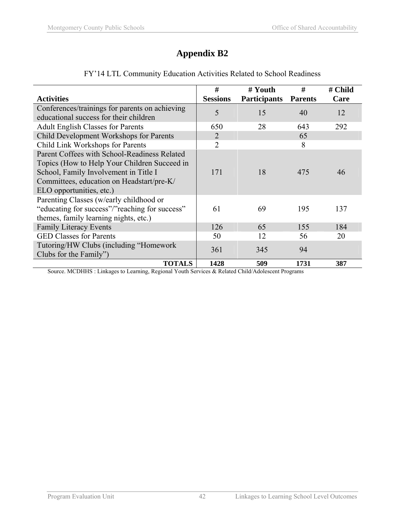# **Appendix B2**

| <b>Activities</b>                                                   | #<br><b>Sessions</b> | # Youth<br><b>Participants</b>  | #<br><b>Parents</b> | # Child<br>Care |
|---------------------------------------------------------------------|----------------------|---------------------------------|---------------------|-----------------|
|                                                                     |                      |                                 |                     |                 |
| Conferences/trainings for parents on achieving                      | 5                    | 15                              | 40                  | 12              |
| educational success for their children                              |                      |                                 |                     |                 |
| <b>Adult English Classes for Parents</b>                            | 650                  | 28                              | 643                 | 292             |
| Child Development Workshops for Parents                             | $\overline{2}$       |                                 | 65                  |                 |
| Child Link Workshops for Parents                                    | $\overline{2}$       |                                 | 8                   |                 |
| Parent Coffees with School-Readiness Related                        |                      |                                 |                     |                 |
| Topics (How to Help Your Children Succeed in                        |                      |                                 |                     |                 |
| School, Family Involvement in Title I                               | 171                  | 18                              | 475                 | 46              |
| Committees, education on Headstart/pre-K/                           |                      |                                 |                     |                 |
| ELO opportunities, etc.)                                            |                      |                                 |                     |                 |
| Parenting Classes (w/early childhood or                             |                      |                                 |                     |                 |
| "educating for success"/"reaching for success"                      | 61                   | 69                              | 195                 | 137             |
| themes, family learning nights, etc.)                               |                      |                                 |                     |                 |
| <b>Family Literacy Events</b>                                       | 126                  | 65                              | 155                 | 184             |
| <b>GED Classes for Parents</b>                                      | 50                   | 12                              | 56                  | 20              |
| Tutoring/HW Clubs (including "Homework                              |                      |                                 | 94                  |                 |
| Clubs for the Family")                                              | 361                  | 345                             |                     |                 |
| <b>TOTALS</b><br>$M$ CDILIO $I^*$ $I^*$ $I^*$<br>$\sim$<br><b>D</b> | 1428                 | 509<br>$0.731 \pm 1.0111111111$ | 1731                | 387             |

## FY'14 LTL Community Education Activities Related to School Readiness

Source. MCDHHS : Linkages to Learning, Regional Youth Services & Related Child/Adolescent Programs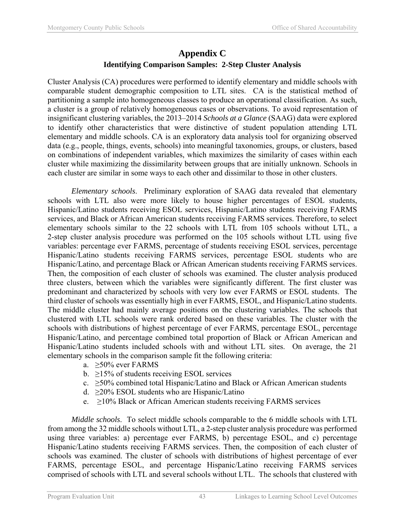## **Appendix C Identifying Comparison Samples: 2-Step Cluster Analysis**

Cluster Analysis (CA) procedures were performed to identify elementary and middle schools with comparable student demographic composition to LTL sites. CA is the statistical method of partitioning a sample into homogeneous classes to produce an operational classification. As such, a cluster is a group of relatively homogeneous cases or observations. To avoid representation of insignificant clustering variables, the 2013–2014 *Schools at a Glance* (SAAG) data were explored to identify other characteristics that were distinctive of student population attending LTL elementary and middle schools. CA is an exploratory data analysis tool for organizing observed data (e.g., people, things, events, schools) into meaningful taxonomies, groups, or clusters, based on combinations of independent variables, which maximizes the similarity of cases within each cluster while maximizing the dissimilarity between groups that are initially unknown. Schools in each cluster are similar in some ways to each other and dissimilar to those in other clusters.

*Elementary schools*. Preliminary exploration of SAAG data revealed that elementary schools with LTL also were more likely to house higher percentages of ESOL students, Hispanic/Latino students receiving ESOL services, Hispanic/Latino students receiving FARMS services, and Black or African American students receiving FARMS services. Therefore, to select elementary schools similar to the 22 schools with LTL from 105 schools without LTL, a 2-step cluster analysis procedure was performed on the 105 schools without LTL using five variables: percentage ever FARMS, percentage of students receiving ESOL services, percentage Hispanic/Latino students receiving FARMS services, percentage ESOL students who are Hispanic/Latino, and percentage Black or African American students receiving FARMS services. Then, the composition of each cluster of schools was examined. The cluster analysis produced three clusters, between which the variables were significantly different. The first cluster was predominant and characterized by schools with very low ever FARMS or ESOL students. The third cluster of schools was essentially high in ever FARMS, ESOL, and Hispanic/Latino students. The middle cluster had mainly average positions on the clustering variables. The schools that clustered with LTL schools were rank ordered based on these variables. The cluster with the schools with distributions of highest percentage of ever FARMS, percentage ESOL, percentage Hispanic/Latino, and percentage combined total proportion of Black or African American and Hispanic/Latino students included schools with and without LTL sites. On average, the 21 elementary schools in the comparison sample fit the following criteria:

- a. ≥50% ever FARMS
- b.  $\geq$ 15% of students receiving ESOL services
- c.  $\geq$ 50% combined total Hispanic/Latino and Black or African American students
- d.  $\geq$ 20% ESOL students who are Hispanic/Latino
- e.  $\geq$ 10% Black or African American students receiving FARMS services

*Middle schools*. To select middle schools comparable to the 6 middle schools with LTL from among the 32 middle schools without LTL, a 2-step cluster analysis procedure was performed using three variables: a) percentage ever FARMS, b) percentage ESOL, and c) percentage Hispanic/Latino students receiving FARMS services. Then, the composition of each cluster of schools was examined. The cluster of schools with distributions of highest percentage of ever FARMS, percentage ESOL, and percentage Hispanic/Latino receiving FARMS services comprised of schools with LTL and several schools without LTL. The schools that clustered with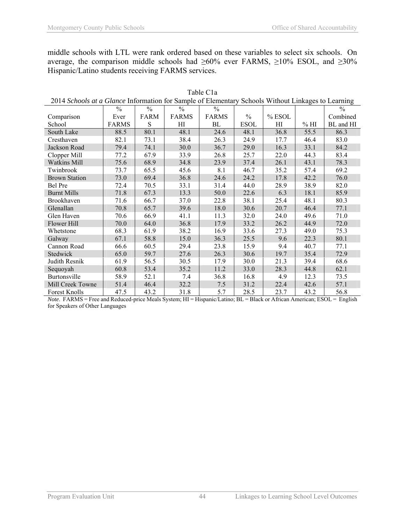middle schools with LTL were rank ordered based on these variables to select six schools. On average, the comparison middle schools had  $\geq 60\%$  ever FARMS,  $\geq 10\%$  ESOL, and  $\geq 30\%$ Hispanic/Latino students receiving FARMS services.

| 2014 Schools at a Glance Information for Sample of Elementary Schools Without Linkages to Learning |               |               |               |               |               |        |      |               |
|----------------------------------------------------------------------------------------------------|---------------|---------------|---------------|---------------|---------------|--------|------|---------------|
|                                                                                                    | $\frac{0}{0}$ | $\frac{0}{0}$ | $\frac{0}{0}$ | $\frac{0}{0}$ |               |        |      | $\frac{0}{0}$ |
| Comparison                                                                                         | Ever          | FARM          | <b>FARMS</b>  | <b>FARMS</b>  | $\frac{0}{0}$ | % ESOL |      | Combined      |
| School                                                                                             | <b>FARMS</b>  | S             | HI            | BL            | <b>ESOL</b>   | HI     | % HI | BL and HI     |
| South Lake                                                                                         | 88.5          | 80.1          | 48.1          | 24.6          | 48.1          | 36.8   | 55.5 | 86.3          |
| Cresthaven                                                                                         | 82.1          | 73.1          | 38.4          | 26.3          | 24.9          | 17.7   | 46.4 | 83.0          |
| Jackson Road                                                                                       | 79.4          | 74.1          | 30.0          | 36.7          | 29.0          | 16.3   | 33.1 | 84.2          |
| Clopper Mill                                                                                       | 77.2          | 67.9          | 33.9          | 26.8          | 25.7          | 22.0   | 44.3 | 83.4          |
| <b>Watkins Mill</b>                                                                                | 75.6          | 68.9          | 34.8          | 23.9          | 37.4          | 26.1   | 43.1 | 78.3          |
| Twinbrook                                                                                          | 73.7          | 65.5          | 45.6          | 8.1           | 46.7          | 35.2   | 57.4 | 69.2          |
| <b>Brown Station</b>                                                                               | 73.0          | 69.4          | 36.8          | 24.6          | 24.2          | 17.8   | 42.2 | 76.0          |
| Bel Pre                                                                                            | 72.4          | 70.5          | 33.1          | 31.4          | 44.0          | 28.9   | 38.9 | 82.0          |
| <b>Burnt Mills</b>                                                                                 | 71.8          | 67.3          | 13.3          | 50.0          | 22.6          | 6.3    | 18.1 | 85.9          |
| Brookhaven                                                                                         | 71.6          | 66.7          | 37.0          | 22.8          | 38.1          | 25.4   | 48.1 | 80.3          |
| Glenallan                                                                                          | 70.8          | 65.7          | 39.6          | 18.0          | 30.6          | 20.7   | 46.4 | 77.1          |
| Glen Haven                                                                                         | 70.6          | 66.9          | 41.1          | 11.3          | 32.0          | 24.0   | 49.6 | 71.0          |
| Flower Hill                                                                                        | 70.0          | 64.0          | 36.8          | 17.9          | 33.2          | 26.2   | 44.9 | 72.0          |
| Whetstone                                                                                          | 68.3          | 61.9          | 38.2          | 16.9          | 33.6          | 27.3   | 49.0 | 75.3          |
| Galway                                                                                             | 67.1          | 58.8          | 15.0          | 36.3          | 25.5          | 9.6    | 22.3 | 80.1          |
| Cannon Road                                                                                        | 66.6          | 60.5          | 29.4          | 23.8          | 15.9          | 9.4    | 40.7 | 77.1          |
| Stedwick                                                                                           | 65.0          | 59.7          | 27.6          | 26.3          | 30.6          | 19.7   | 35.4 | 72.9          |
| Judith Resnik                                                                                      | 61.9          | 56.5          | 30.5          | 17.9          | 30.0          | 21.3   | 39.4 | 68.6          |
| Sequoyah                                                                                           | 60.8          | 53.4          | 35.2          | 11.2          | 33.0          | 28.3   | 44.8 | 62.1          |
| Burtonsville                                                                                       | 58.9          | 52.1          | 7.4           | 36.8          | 16.8          | 4.9    | 12.3 | 73.5          |
| Mill Creek Towne                                                                                   | 51.4          | 46.4          | 32.2          | 7.5           | 31.2          | 22.4   | 42.6 | 57.1          |
| Forest Knolls                                                                                      | 47.5          | 43.2          | 31.8          | 5.7           | 28.5          | 23.7   | 43.2 | 56.8          |

Table C1a 2014 *Schools at a Glance* Information for Sample of Elementary Schools Without Linkages to Learning

*Note*. FARMS = Free and Reduced-price Meals System; HI = Hispanic/Latino; BL = Black or African American; ESOL = English for Speakers of Other Languages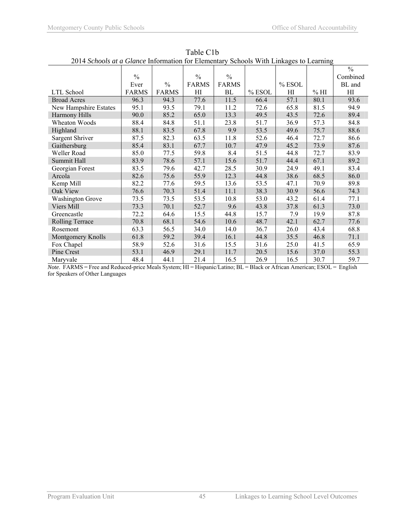| 2014 Schoots at a Giance Information for Elementary Schoots with Elinages to Ecarining |               |               |               |               |        |        |      |               |
|----------------------------------------------------------------------------------------|---------------|---------------|---------------|---------------|--------|--------|------|---------------|
|                                                                                        |               |               |               |               |        |        |      | $\frac{0}{0}$ |
|                                                                                        | $\frac{0}{0}$ |               | $\frac{0}{0}$ | $\frac{0}{0}$ |        |        |      | Combined      |
|                                                                                        | Ever          | $\frac{0}{0}$ | <b>FARMS</b>  | <b>FARMS</b>  |        | % ESOL |      | BL and        |
| LTL School                                                                             | <b>FARMS</b>  | <b>FARMS</b>  | HI            | BL            | % ESOL | HI     | % HI | HI            |
| <b>Broad Acres</b>                                                                     | 96.3          | 94.3          | 77.6          | 11.5          | 66.4   | 57.1   | 80.1 | 93.6          |
| New Hampshire Estates                                                                  | 95.1          | 93.5          | 79.1          | 11.2          | 72.6   | 65.8   | 81.5 | 94.9          |
| Harmony Hills                                                                          | 90.0          | 85.2          | 65.0          | 13.3          | 49.5   | 43.5   | 72.6 | 89.4          |
| Wheaton Woods                                                                          | 88.4          | 84.8          | 51.1          | 23.8          | 51.7   | 36.9   | 57.3 | 84.8          |
| Highland                                                                               | 88.1          | 83.5          | 67.8          | 9.9           | 53.5   | 49.6   | 75.7 | 88.6          |
| Sargent Shriver                                                                        | 87.5          | 82.3          | 63.5          | 11.8          | 52.6   | 46.4   | 72.7 | 86.6          |
| Gaithersburg                                                                           | 85.4          | 83.1          | 67.7          | 10.7          | 47.9   | 45.2   | 73.9 | 87.6          |
| Weller Road                                                                            | 85.0          | 77.5          | 59.8          | 8.4           | 51.5   | 44.8   | 72.7 | 83.9          |
| Summit Hall                                                                            | 83.9          | 78.6          | 57.1          | 15.6          | 51.7   | 44.4   | 67.1 | 89.2          |
| Georgian Forest                                                                        | 83.5          | 79.6          | 42.7          | 28.5          | 30.9   | 24.9   | 49.1 | 83.4          |
| Arcola                                                                                 | 82.6          | 75.6          | 55.9          | 12.3          | 44.8   | 38.6   | 68.5 | 86.0          |
| Kemp Mill                                                                              | 82.2          | 77.6          | 59.5          | 13.6          | 53.5   | 47.1   | 70.9 | 89.8          |
| Oak View                                                                               | 76.6          | 70.3          | 51.4          | 11.1          | 38.3   | 30.9   | 56.6 | 74.3          |
| <b>Washington Grove</b>                                                                | 73.5          | 73.5          | 53.5          | 10.8          | 53.0   | 43.2   | 61.4 | 77.1          |
| Viers Mill                                                                             | 73.3          | 70.1          | 52.7          | 9.6           | 43.8   | 37.8   | 61.3 | 73.0          |
| Greencastle                                                                            | 72.2          | 64.6          | 15.5          | 44.8          | 15.7   | 7.9    | 19.9 | 87.8          |
| <b>Rolling Terrace</b>                                                                 | 70.8          | 68.1          | 54.6          | 10.6          | 48.7   | 42.1   | 62.7 | 77.6          |
| Rosemont                                                                               | 63.3          | 56.5          | 34.0          | 14.0          | 36.7   | 26.0   | 43.4 | 68.8          |
| Montgomery Knolls                                                                      | 61.8          | 59.2          | 39.4          | 16.1          | 44.8   | 35.5   | 46.8 | 71.1          |
| Fox Chapel                                                                             | 58.9          | 52.6          | 31.6          | 15.5          | 31.6   | 25.0   | 41.5 | 65.9          |
| Pine Crest                                                                             | 53.1          | 46.9          | 29.1          | 11.7          | 20.5   | 15.6   | 37.0 | 55.3          |
| Marvvale                                                                               | 48.4          | 44.1          | 21.4          | 16.5          | 26.9   | 16.5   | 30.7 | 59.7          |

Table C1b 2014 *Schools at a Glance* Information for Elementary Schools With Linkages to Learning

*Note*. FARMS = Free and Reduced-price Meals System; HI = Hispanic/Latino; BL = Black or African American; ESOL = English for Speakers of Other Languages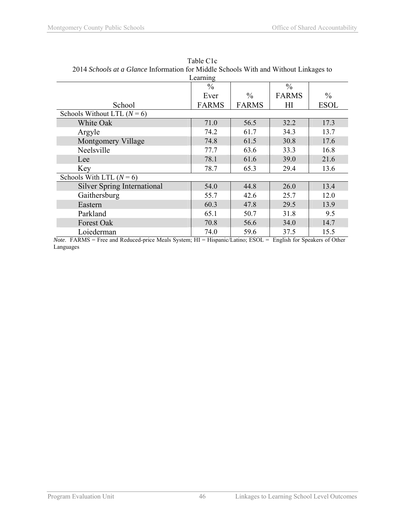| 2014 Schoots at a Giance Information for Middle Schoots with and without Emikages to |              |               |               |               |  |  |  |
|--------------------------------------------------------------------------------------|--------------|---------------|---------------|---------------|--|--|--|
| Learning                                                                             |              |               |               |               |  |  |  |
|                                                                                      | $\%$         |               | $\frac{0}{0}$ |               |  |  |  |
|                                                                                      | Ever         | $\frac{0}{0}$ | <b>FARMS</b>  | $\frac{0}{0}$ |  |  |  |
| School                                                                               | <b>FARMS</b> | <b>FARMS</b>  | ΗΙ            | <b>ESOL</b>   |  |  |  |
| Schools Without LTL $(N=6)$                                                          |              |               |               |               |  |  |  |
| White Oak                                                                            | 71.0         | 56.5          | 32.2          | 17.3          |  |  |  |
| Argyle                                                                               | 74.2         | 61.7          | 34.3          | 13.7          |  |  |  |
| Montgomery Village                                                                   | 74.8         | 61.5          | 30.8          | 17.6          |  |  |  |
| Neelsville                                                                           | 77.7         | 63.6          | 33.3          | 16.8          |  |  |  |
| Lee                                                                                  | 78.1         | 61.6          | 39.0          | 21.6          |  |  |  |
| Key                                                                                  | 78.7         | 65.3          | 29.4          | 13.6          |  |  |  |
| Schools With LTL $(N=6)$                                                             |              |               |               |               |  |  |  |
| <b>Silver Spring International</b>                                                   | 54.0         | 44.8          | 26.0          | 13.4          |  |  |  |
| Gaithersburg                                                                         | 55.7         | 42.6          | 25.7          | 12.0          |  |  |  |
| Eastern                                                                              | 60.3         | 47.8          | 29.5          | 13.9          |  |  |  |
| Parkland                                                                             | 65.1         | 50.7          | 31.8          | 9.5           |  |  |  |
| Forest Oak                                                                           | 70.8         | 56.6          | 34.0          | 14.7          |  |  |  |
| Loiederman                                                                           | 74.0         | 59.6          | 37.5          | 15.5          |  |  |  |

| Table C <sub>1</sub> c                                                               |
|--------------------------------------------------------------------------------------|
| 2014 Schools at a Glance Information for Middle Schools With and Without Linkages to |
| I <sub>confin</sub>                                                                  |

*Note*. FARMS = Free and Reduced-price Meals System; HI = Hispanic/Latino; ESOL = English for Speakers of Other Languages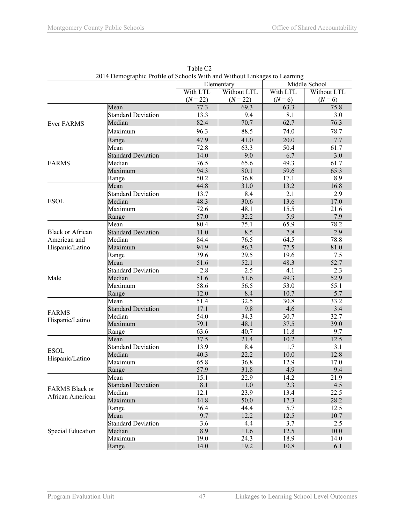|                          | 2014 Demographic Fronte of Schools With and Without Enixages to Ecarining |              | Elementary   |             | Middle School |
|--------------------------|---------------------------------------------------------------------------|--------------|--------------|-------------|---------------|
|                          |                                                                           | With LTL     | Without LTL  | With LTL    | Without LTL   |
|                          |                                                                           | $(N = 22)$   | $(N = 22)$   | $(N = 6)$   | $(N = 6)$     |
|                          | Mean                                                                      | 77.3         | 69.3         | 63.3        | 75.8          |
|                          | <b>Standard Deviation</b>                                                 | 13.3         | 9.4          | 8.1         | 3.0           |
| Ever FARMS               | Median                                                                    | 82.4         | 70.7         | 62.7        | 76.3          |
|                          | Maximum                                                                   | 96.3         | 88.5         | 74.0        | 78.7          |
|                          |                                                                           |              |              |             |               |
|                          | Range                                                                     | 47.9         | 41.0<br>63.3 | 20.0        | 7.7           |
|                          | Mean                                                                      | 72.8         | 9.0          | 50.4<br>6.7 | 61.7<br>3.0   |
| <b>FARMS</b>             | <b>Standard Deviation</b><br>Median                                       | 14.0<br>76.5 | 65.6         | 49.3        | 61.7          |
|                          | Maximum                                                                   | 94.3         | 80.1         | 59.6        | 65.3          |
|                          |                                                                           | 50.2         | 36.8         | 17.1        | 8.9           |
|                          | Range<br>Mean                                                             | 44.8         | 31.0         | 13.2        | 16.8          |
|                          | <b>Standard Deviation</b>                                                 | 13.7         | 8.4          | 2.1         | 2.9           |
| <b>ESOL</b>              | Median                                                                    | 48.3         | 30.6         | 13.6        | 17.0          |
|                          | Maximum                                                                   | 72.6         | 48.1         | 15.5        | 21.6          |
|                          | Range                                                                     | 57.0         | 32.2         | 5.9         | 7.9           |
|                          | Mean                                                                      | 80.4         | 75.1         | 65.9        | 78.2          |
| <b>Black or African</b>  | <b>Standard Deviation</b>                                                 | 11.0         | 8.5          | 7.8         | 2.9           |
| American and             | Median                                                                    | 84.4         | 76.5         | 64.5        | 78.8          |
| Hispanic/Latino          | Maximum                                                                   | 94.9         | 86.3         | 77.5        | 81.0          |
|                          | Range                                                                     | 39.6         | 29.5         | 19.6        | 7.5           |
|                          | Mean                                                                      | 51.6         | 52.1         | 48.3        | 52.7          |
|                          | <b>Standard Deviation</b>                                                 | 2.8          | 2.5          | 4.1         | 2.3           |
| Male                     | Median                                                                    | 51.6         | 51.6         | 49.3        | 52.9          |
|                          | Maximum                                                                   | 58.6         | 56.5         | 53.0        | 55.1          |
|                          | Range                                                                     | 12.0         | 8.4          | 10.7        | 5.7           |
|                          | Mean                                                                      | 51.4         | 32.5         | 30.8        | 33.2          |
|                          | <b>Standard Deviation</b>                                                 | 17.1         | 9.8          | 4.6         | 3.4           |
| <b>FARMS</b>             | Median                                                                    | 54.0         | 34.3         | 30.7        | 32.7          |
| Hispanic/Latino          | Maximum                                                                   | 79.1         | 48.1         | 37.5        | 39.0          |
|                          | Range                                                                     | 63.6         | 40.7         | 11.8        | 9.7           |
|                          | Mean                                                                      | 37.5         | 21.4         | 10.2        | 12.5          |
| <b>ESOL</b>              | <b>Standard Deviation</b>                                                 | 13.9         | 8.4          | 1.7         | 3.1           |
| Hispanic/Latino          | Median                                                                    | 40.3         | 22.2         | 10.0        | 12.8          |
|                          | Maximum                                                                   | 65.8         | 36.8         | 12.9        | 17.0          |
|                          | Range                                                                     | 57.9         | 31.8         | 4.9         | 9.4           |
|                          | Mean                                                                      | 15.1         | 22.9         | 14.2        | 21.9          |
| FARMS Black or           | <b>Standard Deviation</b>                                                 | 8.1          | 11.0         | 2.3         | 4.5           |
| African American         | Median                                                                    | 12.1         | 23.9         | 13.4        | 22.5          |
|                          | Maximum                                                                   | 44.8         | 50.0         | 17.3        | 28.2          |
|                          | Range                                                                     | 36.4         | 44.4         | 5.7         | 12.5          |
|                          | Mean                                                                      | 9.7          | 12.2         | 12.5        | 10.7          |
|                          | <b>Standard Deviation</b>                                                 | 3.6          | 4.4          | 3.7         | 2.5           |
| <b>Special Education</b> | Median                                                                    | 8.9          | 11.6         | 12.5        | 10.0          |
|                          | Maximum                                                                   | 19.0         | 24.3         | 18.9        | 14.0          |
|                          | Range                                                                     | 14.0         | 19.2         | 10.8        | 6.1           |

Table C2 2014 Demographic Profile of Schools With and Without Linkages to Learning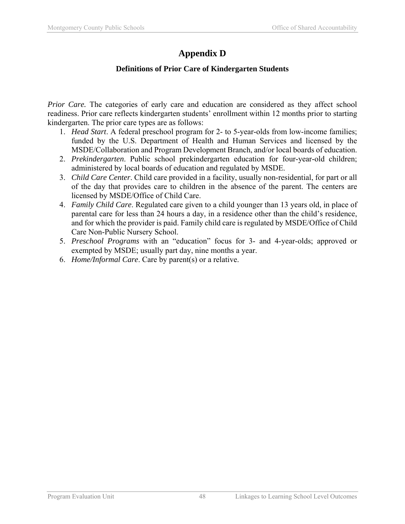# **Appendix D**

## **Definitions of Prior Care of Kindergarten Students**

*Prior Care.* The categories of early care and education are considered as they affect school readiness. Prior care reflects kindergarten students' enrollment within 12 months prior to starting kindergarten. The prior care types are as follows:

- 1. *Head Start*. A federal preschool program for 2- to 5-year-olds from low-income families; funded by the U.S. Department of Health and Human Services and licensed by the MSDE/Collaboration and Program Development Branch, and/or local boards of education.
- 2. *Prekindergarten*. Public school prekindergarten education for four-year-old children; administered by local boards of education and regulated by MSDE.
- 3. *Child Care Center*. Child care provided in a facility, usually non-residential, for part or all of the day that provides care to children in the absence of the parent. The centers are licensed by MSDE/Office of Child Care.
- 4. *Family Child Care*. Regulated care given to a child younger than 13 years old, in place of parental care for less than 24 hours a day, in a residence other than the child's residence, and for which the provider is paid. Family child care is regulated by MSDE/Office of Child Care Non-Public Nursery School.
- 5. *Preschool Programs* with an "education" focus for 3- and 4-year-olds; approved or exempted by MSDE; usually part day, nine months a year.
- 6. *Home/Informal Care*. Care by parent(s) or a relative.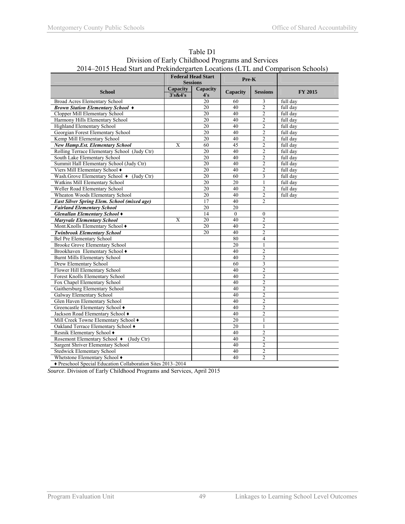| $2014-2013$ Head Start and Prekning partent Locations (LTL and Comparison Schools) | <b>Federal Head Start</b><br><b>Sessions</b> |                 | Pre-K           |                 |                |  |
|------------------------------------------------------------------------------------|----------------------------------------------|-----------------|-----------------|-----------------|----------------|--|
| <b>School</b>                                                                      | Capacity<br>3's&4's                          | Capacity<br>4's | <b>Capacity</b> | <b>Sessions</b> | <b>FY 2015</b> |  |
| Broad Acres Elementary School                                                      |                                              | 20              | 60              | 3               | full day       |  |
| <b>Brown Station Elementary School <math>\triangle</math></b>                      |                                              | 20              | 40              | $\overline{2}$  | full day       |  |
| Clopper Mill Elementary School                                                     |                                              | 20              | 40              | $\overline{2}$  | full day       |  |
| Harmony Hills Elementary School                                                    |                                              | 20              | 40              | $\overline{2}$  | full day       |  |
| Highland Elementary School                                                         |                                              | 20              | 40              | $\overline{2}$  | full day       |  |
| Georgian Forest Elementary School                                                  |                                              | 20              | 40              | $\overline{2}$  | full day       |  |
| Kemp Mill Elementary School                                                        |                                              | 20              | 40              | $\overline{2}$  | full day       |  |
| <b>New Hamp.Est. Elementary School</b>                                             | X                                            | 60              | 45              | $\overline{2}$  | full day       |  |
| Rolling Terrace Elementary School (Judy Ctr)                                       |                                              | 20              | 40              | $\overline{2}$  | full day       |  |
| South Lake Elementary School                                                       |                                              | 20              | 40              | $\overline{c}$  | full day       |  |
| Summit Hall Elementary School (Judy Ctr)                                           |                                              | 20              | 40              | $\overline{2}$  | full day       |  |
| Viers Mill Elementary School +                                                     |                                              | 20              | 40              | $\overline{2}$  | full day       |  |
| Wash.Grove Elementary School + (Judy Ctr)                                          |                                              | 20              | 60              | 3               | full day       |  |
| Watkins Mill Elementary School                                                     |                                              | 20              | 20              | 1               | full day       |  |
| Weller Road Elementary School                                                      |                                              | 20              | 40              | $\overline{2}$  | full day       |  |
| Wheaton Woods Elementary School                                                    |                                              | 20              | 40              | $\overline{2}$  | full day       |  |
| <b>East Silver Spring Elem. School (mixed age)</b>                                 |                                              | 17              | 40              | $\overline{2}$  |                |  |
| <b>Fairland Elementary School</b>                                                  |                                              | $\overline{20}$ | 20              |                 |                |  |
| Glenallan Elementary School +                                                      |                                              | 14              | $\mathbf{0}$    | $\mathbf{0}$    |                |  |
| <b>Maryvale Elementary School</b>                                                  | X                                            | $\overline{20}$ | 40              | $\overline{2}$  |                |  |
| Mont.Knolls Elementary School +                                                    |                                              | 20              | 40              | $\overline{2}$  |                |  |
| <b>Twinbrook Elementary School</b>                                                 |                                              | 20              | 40              | $\overline{2}$  |                |  |
| Bel Pre Elementary School                                                          |                                              |                 | 80              | $\overline{4}$  |                |  |
| <b>Brooke Grove Elementary School</b>                                              |                                              |                 | 20              | 1               |                |  |
| Brookhaven Elementary School +                                                     |                                              |                 | 40              | $\overline{2}$  |                |  |
| Burnt Mills Elementary School                                                      |                                              |                 | 40              | $\overline{2}$  |                |  |
| Drew Elementary School                                                             |                                              |                 | 60              | 3               |                |  |
| Flower Hill Elementary School                                                      |                                              |                 | 40              | $\overline{2}$  |                |  |
| Forest Knolls Elementary School                                                    |                                              |                 | 40              | $\overline{2}$  |                |  |
| Fox Chapel Elementary School                                                       |                                              |                 | 40              | $\overline{2}$  |                |  |
| Gaithersburg Elementary School                                                     |                                              |                 | 40              | $\overline{2}$  |                |  |
| Galway Elementary School                                                           |                                              |                 | 40              | $\overline{2}$  |                |  |
| Glen Haven Elementary School                                                       |                                              |                 | 40              | $\overline{2}$  |                |  |
| Greencastle Elementary School ♦                                                    |                                              |                 | 40              | $\overline{2}$  |                |  |
| Jackson Road Elementary School +                                                   |                                              |                 | 40              | $\overline{2}$  |                |  |
| Mill Creek Towne Elementary School +                                               |                                              |                 | 20              | 1               |                |  |
| Oakland Terrace Elementary School ♦                                                |                                              |                 | $\overline{20}$ | 1               |                |  |
| Resnik Elementary School ♦                                                         |                                              |                 | 40              | $\overline{2}$  |                |  |
| Rosemont Elementary School ♦ (Judy Ctr)                                            |                                              |                 | 40              | $\mathfrak{D}$  |                |  |
| Sargent Shriver Elementary School                                                  |                                              |                 | 40              | $\overline{2}$  |                |  |
| <b>Stedwick Elementary School</b>                                                  |                                              |                 | 40              | $\overline{2}$  |                |  |
| Whetstone Elementary School ♦                                                      |                                              |                 | 40              | $\overline{2}$  |                |  |
| ◆ Preschool Special Education Collaboration Sites 2013-2014                        |                                              |                 |                 |                 |                |  |

Table D1 Division of Early Childhood Programs and Services 2014–2015 Head Start and Prekindergarten Locations (LTL and Comparison Schools)

*Source*. Division of Early Childhood Programs and Services, April 2015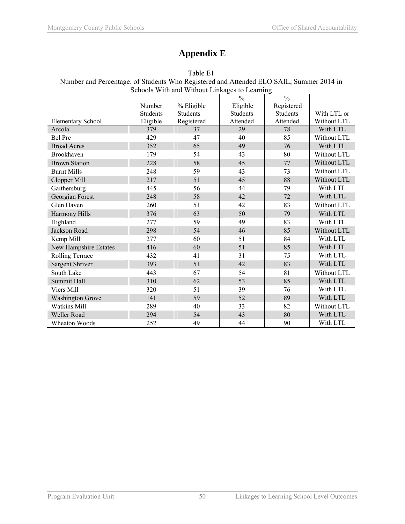# **Appendix E**

| Schools With and Without Linkages to Learning |                 |                 |               |                 |             |  |
|-----------------------------------------------|-----------------|-----------------|---------------|-----------------|-------------|--|
|                                               |                 |                 | $\frac{0}{0}$ | $\frac{0}{0}$   |             |  |
|                                               | Number          | % Eligible      | Eligible      | Registered      |             |  |
|                                               | <b>Students</b> | <b>Students</b> | Students      | <b>Students</b> | With LTL or |  |
| <b>Elementary School</b>                      | Eligible        | Registered      | Attended      | Attended        | Without LTL |  |
| Arcola                                        | 379             | 37              | 29            | 78              | With LTL    |  |
| <b>Bel Pre</b>                                | 429             | 47              | 40            | 85              | Without LTL |  |
| <b>Broad Acres</b>                            | 352             | 65              | 49            | 76              | With LTL    |  |
| <b>Brookhaven</b>                             | 179             | 54              | 43            | 80              | Without LTL |  |
| <b>Brown Station</b>                          | 228             | 58              | 45            | 77              | Without LTL |  |
| <b>Burnt Mills</b>                            | 248             | 59              | 43            | 73              | Without LTL |  |
| Clopper Mill                                  | 217             | 51              | 45            | 88              | Without LTL |  |
| Gaithersburg                                  | 445             | 56              | 44            | 79              | With LTL    |  |
| Georgian Forest                               | 248             | 58              | 42            | 72              | With LTL    |  |
| Glen Haven                                    | 260             | 51              | 42            | 83              | Without LTL |  |
| Harmony Hills                                 | 376             | 63              | 50            | 79              | With LTL    |  |
| Highland                                      | 277             | 59              | 49            | 83              | With LTL    |  |
| Jackson Road                                  | 298             | 54              | 46            | 85              | Without LTL |  |
| Kemp Mill                                     | 277             | 60              | 51            | 84              | With LTL    |  |
| New Hampshire Estates                         | 416             | 60              | 51            | 85              | With LTL    |  |
| Rolling Terrace                               | 432             | 41              | 31            | 75              | With LTL    |  |
| Sargent Shriver                               | 393             | 51              | 42            | 83              | With LTL    |  |
| South Lake                                    | 443             | 67              | 54            | 81              | Without LTL |  |
| Summit Hall                                   | 310             | 62              | 53            | 85              | With LTL    |  |
| Viers Mill                                    | 320             | 51              | 39            | 76              | With LTL    |  |
| <b>Washington Grove</b>                       | 141             | 59              | 52            | 89              | With LTL    |  |
| <b>Watkins Mill</b>                           | 289             | 40              | 33            | 82              | Without LTL |  |
| <b>Weller Road</b>                            | 294             | 54              | 43            | 80              | With LTL    |  |
| Wheaton Woods                                 | 252             | 49              | 44            | 90              | With LTL    |  |

Table E1 Number and Percentage. of Students Who Registered and Attended ELO SAIL, Summer 2014 in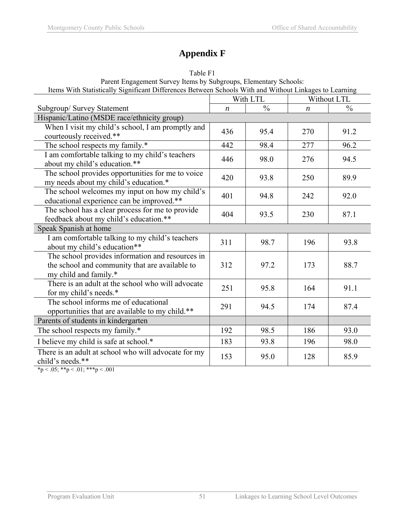# **Appendix F**

| Parent Engagement Survey Reins by Subgroups, Elementary Schools.<br>Items With Statistically Significant Differences Between Schools With and Without Linkages to Learning |                  |               |                  |               |  |  |  |
|----------------------------------------------------------------------------------------------------------------------------------------------------------------------------|------------------|---------------|------------------|---------------|--|--|--|
|                                                                                                                                                                            | With LTL         |               |                  | Without LTL   |  |  |  |
| Subgroup/Survey Statement                                                                                                                                                  | $\boldsymbol{n}$ | $\frac{0}{0}$ | $\boldsymbol{n}$ | $\frac{0}{0}$ |  |  |  |
| Hispanic/Latino (MSDE race/ethnicity group)                                                                                                                                |                  |               |                  |               |  |  |  |
| When I visit my child's school, I am promptly and<br>courteously received.**                                                                                               | 436              | 95.4          | 270              | 91.2          |  |  |  |
| The school respects my family.*                                                                                                                                            | 442              | 98.4          | 277              | 96.2          |  |  |  |
| I am comfortable talking to my child's teachers<br>about my child's education.**                                                                                           | 446              | 98.0          | 276              | 94.5          |  |  |  |
| The school provides opportunities for me to voice<br>my needs about my child's education.*                                                                                 | 420              | 93.8          | 250              | 89.9          |  |  |  |
| The school welcomes my input on how my child's<br>educational experience can be improved.**                                                                                | 401              | 94.8          | 242              | 92.0          |  |  |  |
| The school has a clear process for me to provide<br>feedback about my child's education.**                                                                                 | 404              | 93.5          | 230              | 87.1          |  |  |  |
| Speak Spanish at home                                                                                                                                                      |                  |               |                  |               |  |  |  |
| I am comfortable talking to my child's teachers<br>about my child's education**                                                                                            | 311              | 98.7          | 196              | 93.8          |  |  |  |
| The school provides information and resources in<br>the school and community that are available to<br>my child and family.*                                                | 312              | 97.2          | 173              | 88.7          |  |  |  |
| There is an adult at the school who will advocate<br>for my child's needs.*                                                                                                | 251              | 95.8          | 164              | 91.1          |  |  |  |
| The school informs me of educational<br>opportunities that are available to my child.**                                                                                    | 291              | 94.5          | 174              | 87.4          |  |  |  |
| Parents of students in kindergarten                                                                                                                                        |                  |               |                  |               |  |  |  |
| The school respects my family.*                                                                                                                                            | 192              | 98.5          | 186              | 93.0          |  |  |  |
| I believe my child is safe at school.*                                                                                                                                     | 183              | 93.8          | 196              | 98.0          |  |  |  |
| There is an adult at school who will advocate for my<br>child's needs.**                                                                                                   | 153              | 95.0          | 128              | 85.9          |  |  |  |

Table F1 Parent Engagement Survey Items by Subgroups, Elementary Schools:

\*p < .05; \*\*p < .01; \*\*\*p < .001